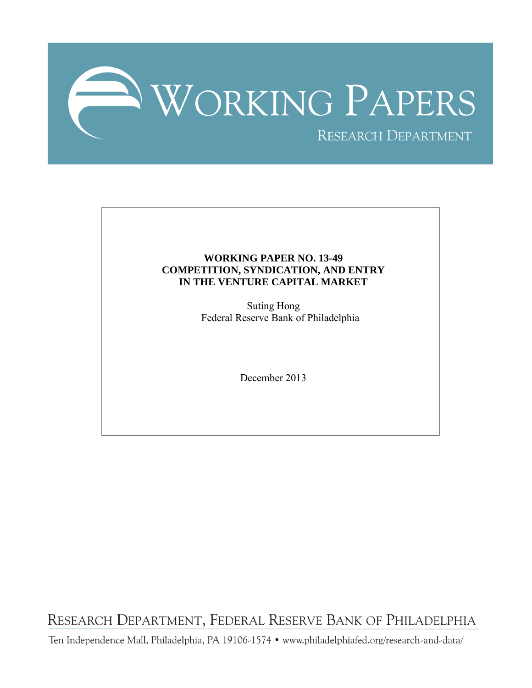

## **WORKING PAPER NO. 13-49 COMPETITION, SYNDICATION, AND ENTRY IN THE VENTURE CAPITAL MARKET**

Suting Hong Federal Reserve Bank of Philadelphia

December 2013

RESEARCH DEPARTMENT, FEDERAL RESERVE BANK OF PHILADELPHIA

Ten Independence Mall, Philadelphia, PA 19106-1574 · www.philadelphiafed.org/research-and-data/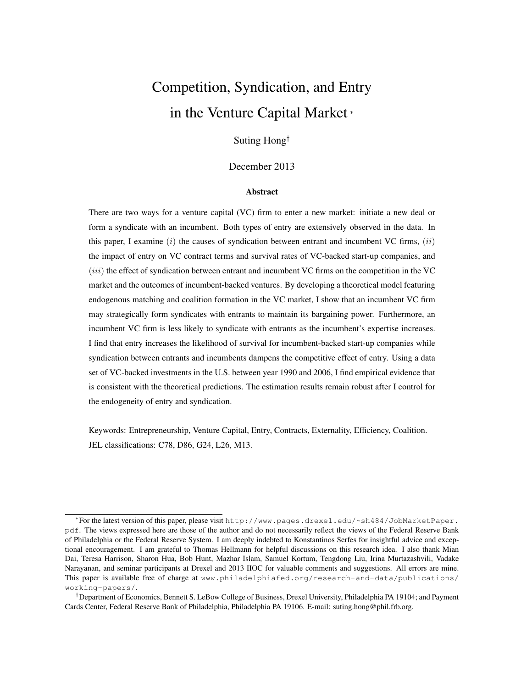# Competition, Syndication, and Entry in the Venture Capital Market <sup>∗</sup>

## Suting Hong†

## December 2013

#### Abstract

There are two ways for a venture capital (VC) firm to enter a new market: initiate a new deal or form a syndicate with an incumbent. Both types of entry are extensively observed in the data. In this paper, I examine  $(i)$  the causes of syndication between entrant and incumbent VC firms,  $(ii)$ the impact of entry on VC contract terms and survival rates of VC-backed start-up companies, and (*iii*) the effect of syndication between entrant and incumbent VC firms on the competition in the VC market and the outcomes of incumbent-backed ventures. By developing a theoretical model featuring endogenous matching and coalition formation in the VC market, I show that an incumbent VC firm may strategically form syndicates with entrants to maintain its bargaining power. Furthermore, an incumbent VC firm is less likely to syndicate with entrants as the incumbent's expertise increases. I find that entry increases the likelihood of survival for incumbent-backed start-up companies while syndication between entrants and incumbents dampens the competitive effect of entry. Using a data set of VC-backed investments in the U.S. between year 1990 and 2006, I find empirical evidence that is consistent with the theoretical predictions. The estimation results remain robust after I control for the endogeneity of entry and syndication.

Keywords: Entrepreneurship, Venture Capital, Entry, Contracts, Externality, Efficiency, Coalition. JEL classifications: C78, D86, G24, L26, M13.

<sup>∗</sup> For the latest version of this paper, please visit http://www.pages.drexel.edu/~sh484/JobMarketPaper. pdf. The views expressed here are those of the author and do not necessarily reflect the views of the Federal Reserve Bank of Philadelphia or the Federal Reserve System. I am deeply indebted to Konstantinos Serfes for insightful advice and exceptional encouragement. I am grateful to Thomas Hellmann for helpful discussions on this research idea. I also thank Mian Dai, Teresa Harrison, Sharon Hua, Bob Hunt, Mazhar Islam, Samuel Kortum, Tengdong Liu, Irina Murtazashvili, Vadake Narayanan, and seminar participants at Drexel and 2013 IIOC for valuable comments and suggestions. All errors are mine. This paper is available free of charge at www.philadelphiafed.org/research-and-data/publications/ working-papers/.

<sup>†</sup>Department of Economics, Bennett S. LeBow College of Business, Drexel University, Philadelphia PA 19104; and Payment Cards Center, Federal Reserve Bank of Philadelphia, Philadelphia PA 19106. E-mail: suting.hong@phil.frb.org.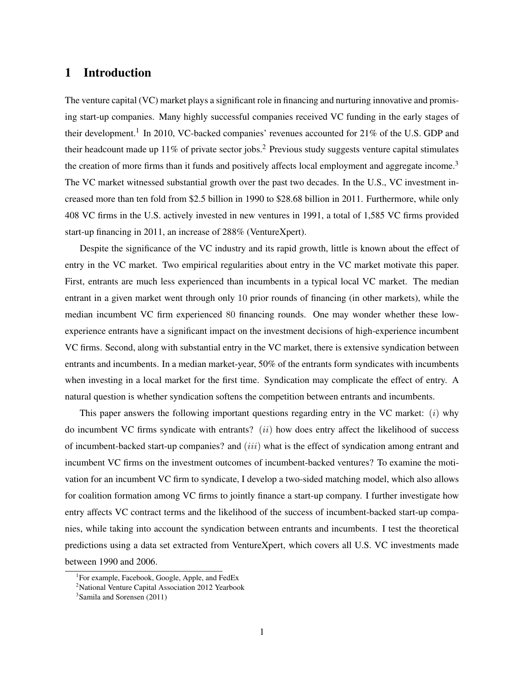## 1 Introduction

The venture capital (VC) market plays a significant role in financing and nurturing innovative and promising start-up companies. Many highly successful companies received VC funding in the early stages of their development.<sup>1</sup> In 2010, VC-backed companies' revenues accounted for 21% of the U.S. GDP and their headcount made up 11% of private sector jobs.<sup>2</sup> Previous study suggests venture capital stimulates the creation of more firms than it funds and positively affects local employment and aggregate income.<sup>3</sup> The VC market witnessed substantial growth over the past two decades. In the U.S., VC investment increased more than ten fold from \$2.5 billion in 1990 to \$28.68 billion in 2011. Furthermore, while only 408 VC firms in the U.S. actively invested in new ventures in 1991, a total of 1,585 VC firms provided start-up financing in 2011, an increase of 288% (VentureXpert).

Despite the significance of the VC industry and its rapid growth, little is known about the effect of entry in the VC market. Two empirical regularities about entry in the VC market motivate this paper. First, entrants are much less experienced than incumbents in a typical local VC market. The median entrant in a given market went through only 10 prior rounds of financing (in other markets), while the median incumbent VC firm experienced 80 financing rounds. One may wonder whether these lowexperience entrants have a significant impact on the investment decisions of high-experience incumbent VC firms. Second, along with substantial entry in the VC market, there is extensive syndication between entrants and incumbents. In a median market-year, 50% of the entrants form syndicates with incumbents when investing in a local market for the first time. Syndication may complicate the effect of entry. A natural question is whether syndication softens the competition between entrants and incumbents.

This paper answers the following important questions regarding entry in the VC market:  $(i)$  why do incumbent VC firms syndicate with entrants?  $(ii)$  how does entry affect the likelihood of success of incumbent-backed start-up companies? and (iii) what is the effect of syndication among entrant and incumbent VC firms on the investment outcomes of incumbent-backed ventures? To examine the motivation for an incumbent VC firm to syndicate, I develop a two-sided matching model, which also allows for coalition formation among VC firms to jointly finance a start-up company. I further investigate how entry affects VC contract terms and the likelihood of the success of incumbent-backed start-up companies, while taking into account the syndication between entrants and incumbents. I test the theoretical predictions using a data set extracted from VentureXpert, which covers all U.S. VC investments made between 1990 and 2006.

<sup>&</sup>lt;sup>1</sup>For example, Facebook, Google, Apple, and FedEx

<sup>&</sup>lt;sup>2</sup>National Venture Capital Association 2012 Yearbook

<sup>3</sup> Samila and Sorensen (2011)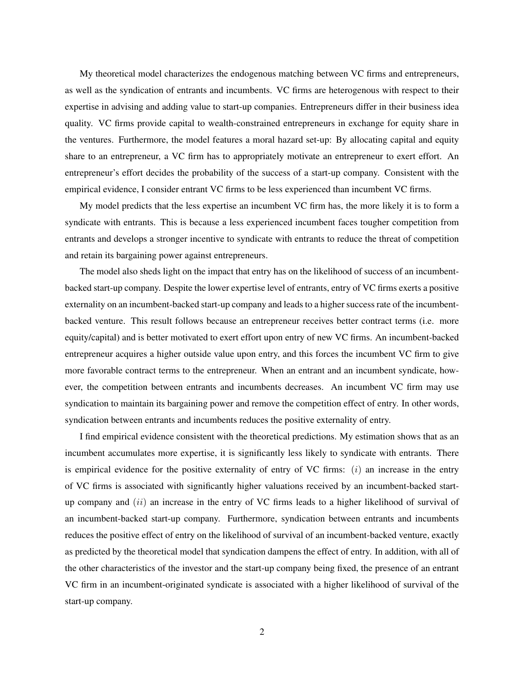My theoretical model characterizes the endogenous matching between VC firms and entrepreneurs, as well as the syndication of entrants and incumbents. VC firms are heterogenous with respect to their expertise in advising and adding value to start-up companies. Entrepreneurs differ in their business idea quality. VC firms provide capital to wealth-constrained entrepreneurs in exchange for equity share in the ventures. Furthermore, the model features a moral hazard set-up: By allocating capital and equity share to an entrepreneur, a VC firm has to appropriately motivate an entrepreneur to exert effort. An entrepreneur's effort decides the probability of the success of a start-up company. Consistent with the empirical evidence, I consider entrant VC firms to be less experienced than incumbent VC firms.

My model predicts that the less expertise an incumbent VC firm has, the more likely it is to form a syndicate with entrants. This is because a less experienced incumbent faces tougher competition from entrants and develops a stronger incentive to syndicate with entrants to reduce the threat of competition and retain its bargaining power against entrepreneurs.

The model also sheds light on the impact that entry has on the likelihood of success of an incumbentbacked start-up company. Despite the lower expertise level of entrants, entry of VC firms exerts a positive externality on an incumbent-backed start-up company and leads to a higher success rate of the incumbentbacked venture. This result follows because an entrepreneur receives better contract terms (i.e. more equity/capital) and is better motivated to exert effort upon entry of new VC firms. An incumbent-backed entrepreneur acquires a higher outside value upon entry, and this forces the incumbent VC firm to give more favorable contract terms to the entrepreneur. When an entrant and an incumbent syndicate, however, the competition between entrants and incumbents decreases. An incumbent VC firm may use syndication to maintain its bargaining power and remove the competition effect of entry. In other words, syndication between entrants and incumbents reduces the positive externality of entry.

I find empirical evidence consistent with the theoretical predictions. My estimation shows that as an incumbent accumulates more expertise, it is significantly less likely to syndicate with entrants. There is empirical evidence for the positive externality of entry of VC firms:  $(i)$  an increase in the entry of VC firms is associated with significantly higher valuations received by an incumbent-backed startup company and  $(ii)$  an increase in the entry of VC firms leads to a higher likelihood of survival of an incumbent-backed start-up company. Furthermore, syndication between entrants and incumbents reduces the positive effect of entry on the likelihood of survival of an incumbent-backed venture, exactly as predicted by the theoretical model that syndication dampens the effect of entry. In addition, with all of the other characteristics of the investor and the start-up company being fixed, the presence of an entrant VC firm in an incumbent-originated syndicate is associated with a higher likelihood of survival of the start-up company.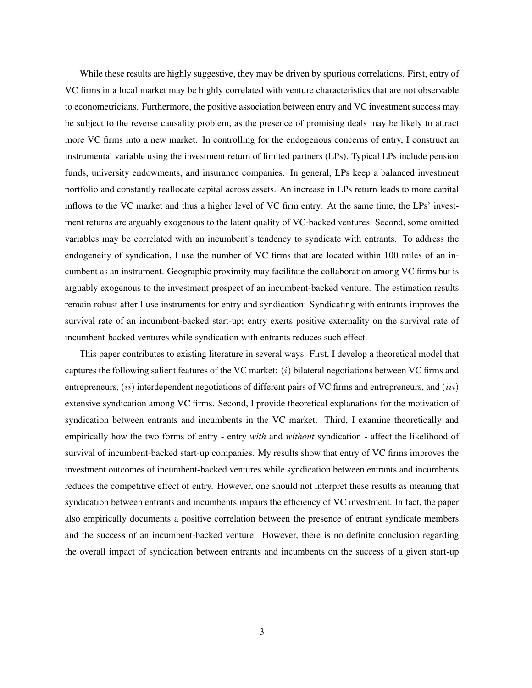While these results are highly suggestive, they may be driven by spurious correlations. First, entry of VC firms in a local market may be highly correlated with venture characteristics that are not observable to econometricians. Furthermore, the positive association between entry and VC investment success may be subject to the reverse causality problem, as the presence of promising deals may be likely to attract more VC firms into a new market. In controlling for the endogenous concerns of entry, I construct an instrumental variable using the investment return of limited partners (LPs). Typical LPs include pension funds, university endowments, and insurance companies. In general, LPs keep a balanced investment portfolio and constantly reallocate capital across assets. An increase in LPs return leads to more capital inflows to the VC market and thus a higher level of VC firm entry. At the same time, the LPs' investment returns are arguably exogenous to the latent quality of VC-backed ventures. Second, some omitted variables may be correlated with an incumbent's tendency to syndicate with entrants. To address the endogeneity of syndication, I use the number of VC firms that are located within 100 miles of an incumbent as an instrument. Geographic proximity may facilitate the collaboration among VC firms but is arguably exogenous to the investment prospect of an incumbent-backed venture. The estimation results remain robust after I use instruments for entry and syndication: Syndicating with entrants improves the survival rate of an incumbent-backed start-up; entry exerts positive externality on the survival rate of incumbent-backed ventures while syndication with entrants reduces such effect.

This paper contributes to existing literature in several ways. First, I develop a theoretical model that captures the following salient features of the VC market:  $(i)$  bilateral negotiations between VC firms and entrepreneurs,  $(ii)$  interdependent negotiations of different pairs of VC firms and entrepreneurs, and  $(iii)$ extensive syndication among VC firms. Second, I provide theoretical explanations for the motivation of syndication between entrants and incumbents in the VC market. Third, I examine theoretically and empirically how the two forms of entry - entry *with* and *without* syndication - affect the likelihood of survival of incumbent-backed start-up companies. My results show that entry of VC firms improves the investment outcomes of incumbent-backed ventures while syndication between entrants and incumbents reduces the competitive effect of entry. However, one should not interpret these results as meaning that syndication between entrants and incumbents impairs the efficiency of VC investment. In fact, the paper also empirically documents a positive correlation between the presence of entrant syndicate members and the success of an incumbent-backed venture. However, there is no definite conclusion regarding the overall impact of syndication between entrants and incumbents on the success of a given start-up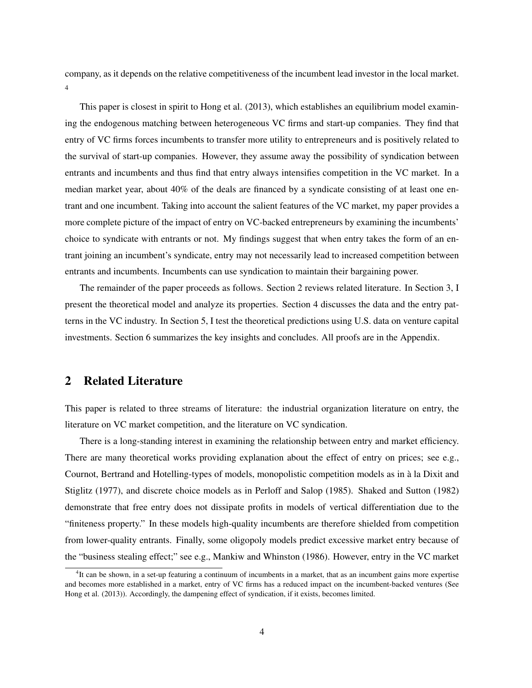company, as it depends on the relative competitiveness of the incumbent lead investor in the local market. 4

This paper is closest in spirit to Hong et al. (2013), which establishes an equilibrium model examining the endogenous matching between heterogeneous VC firms and start-up companies. They find that entry of VC firms forces incumbents to transfer more utility to entrepreneurs and is positively related to the survival of start-up companies. However, they assume away the possibility of syndication between entrants and incumbents and thus find that entry always intensifies competition in the VC market. In a median market year, about 40% of the deals are financed by a syndicate consisting of at least one entrant and one incumbent. Taking into account the salient features of the VC market, my paper provides a more complete picture of the impact of entry on VC-backed entrepreneurs by examining the incumbents' choice to syndicate with entrants or not. My findings suggest that when entry takes the form of an entrant joining an incumbent's syndicate, entry may not necessarily lead to increased competition between entrants and incumbents. Incumbents can use syndication to maintain their bargaining power.

The remainder of the paper proceeds as follows. Section 2 reviews related literature. In Section 3, I present the theoretical model and analyze its properties. Section 4 discusses the data and the entry patterns in the VC industry. In Section 5, I test the theoretical predictions using U.S. data on venture capital investments. Section 6 summarizes the key insights and concludes. All proofs are in the Appendix.

## 2 Related Literature

This paper is related to three streams of literature: the industrial organization literature on entry, the literature on VC market competition, and the literature on VC syndication.

There is a long-standing interest in examining the relationship between entry and market efficiency. There are many theoretical works providing explanation about the effect of entry on prices; see e.g., Cournot, Bertrand and Hotelling-types of models, monopolistic competition models as in à la Dixit and Stiglitz (1977), and discrete choice models as in Perloff and Salop (1985). Shaked and Sutton (1982) demonstrate that free entry does not dissipate profits in models of vertical differentiation due to the "finiteness property." In these models high-quality incumbents are therefore shielded from competition from lower-quality entrants. Finally, some oligopoly models predict excessive market entry because of the "business stealing effect;" see e.g., Mankiw and Whinston (1986). However, entry in the VC market

<sup>&</sup>lt;sup>4</sup>It can be shown, in a set-up featuring a continuum of incumbents in a market, that as an incumbent gains more expertise and becomes more established in a market, entry of VC firms has a reduced impact on the incumbent-backed ventures (See Hong et al. (2013)). Accordingly, the dampening effect of syndication, if it exists, becomes limited.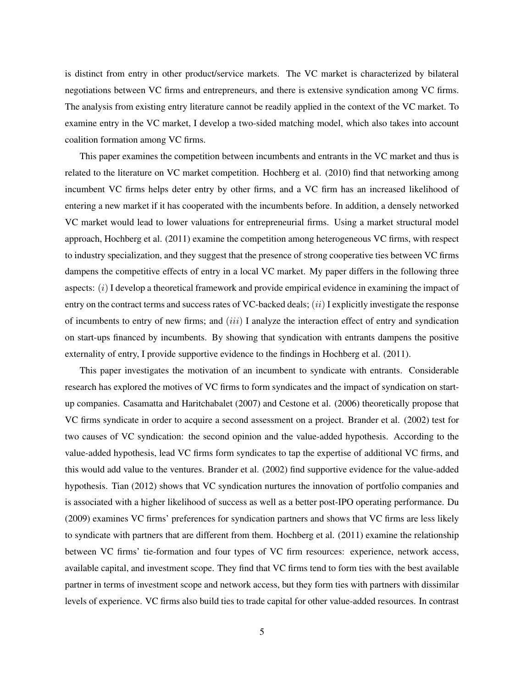is distinct from entry in other product/service markets. The VC market is characterized by bilateral negotiations between VC firms and entrepreneurs, and there is extensive syndication among VC firms. The analysis from existing entry literature cannot be readily applied in the context of the VC market. To examine entry in the VC market, I develop a two-sided matching model, which also takes into account coalition formation among VC firms.

This paper examines the competition between incumbents and entrants in the VC market and thus is related to the literature on VC market competition. Hochberg et al. (2010) find that networking among incumbent VC firms helps deter entry by other firms, and a VC firm has an increased likelihood of entering a new market if it has cooperated with the incumbents before. In addition, a densely networked VC market would lead to lower valuations for entrepreneurial firms. Using a market structural model approach, Hochberg et al. (2011) examine the competition among heterogeneous VC firms, with respect to industry specialization, and they suggest that the presence of strong cooperative ties between VC firms dampens the competitive effects of entry in a local VC market. My paper differs in the following three aspects:  $(i)$  I develop a theoretical framework and provide empirical evidence in examining the impact of entry on the contract terms and success rates of VC-backed deals;  $(ii)$  I explicitly investigate the response of incumbents to entry of new firms; and  $(iii)$  I analyze the interaction effect of entry and syndication on start-ups financed by incumbents. By showing that syndication with entrants dampens the positive externality of entry, I provide supportive evidence to the findings in Hochberg et al. (2011).

This paper investigates the motivation of an incumbent to syndicate with entrants. Considerable research has explored the motives of VC firms to form syndicates and the impact of syndication on startup companies. Casamatta and Haritchabalet (2007) and Cestone et al. (2006) theoretically propose that VC firms syndicate in order to acquire a second assessment on a project. Brander et al. (2002) test for two causes of VC syndication: the second opinion and the value-added hypothesis. According to the value-added hypothesis, lead VC firms form syndicates to tap the expertise of additional VC firms, and this would add value to the ventures. Brander et al. (2002) find supportive evidence for the value-added hypothesis. Tian (2012) shows that VC syndication nurtures the innovation of portfolio companies and is associated with a higher likelihood of success as well as a better post-IPO operating performance. Du (2009) examines VC firms' preferences for syndication partners and shows that VC firms are less likely to syndicate with partners that are different from them. Hochberg et al. (2011) examine the relationship between VC firms' tie-formation and four types of VC firm resources: experience, network access, available capital, and investment scope. They find that VC firms tend to form ties with the best available partner in terms of investment scope and network access, but they form ties with partners with dissimilar levels of experience. VC firms also build ties to trade capital for other value-added resources. In contrast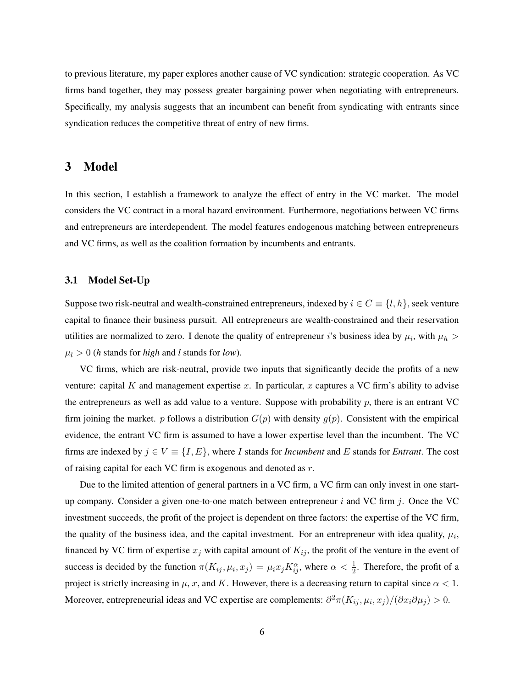to previous literature, my paper explores another cause of VC syndication: strategic cooperation. As VC firms band together, they may possess greater bargaining power when negotiating with entrepreneurs. Specifically, my analysis suggests that an incumbent can benefit from syndicating with entrants since syndication reduces the competitive threat of entry of new firms.

## 3 Model

In this section, I establish a framework to analyze the effect of entry in the VC market. The model considers the VC contract in a moral hazard environment. Furthermore, negotiations between VC firms and entrepreneurs are interdependent. The model features endogenous matching between entrepreneurs and VC firms, as well as the coalition formation by incumbents and entrants.

## 3.1 Model Set-Up

Suppose two risk-neutral and wealth-constrained entrepreneurs, indexed by  $i \in C \equiv \{l, h\}$ , seek venture capital to finance their business pursuit. All entrepreneurs are wealth-constrained and their reservation utilities are normalized to zero. I denote the quality of entrepreneur *i*'s business idea by  $\mu_i$ , with  $\mu_h$  $\mu_l > 0$  (*h* stands for *high* and *l* stands for *low*).

VC firms, which are risk-neutral, provide two inputs that significantly decide the profits of a new venture: capital K and management expertise x. In particular, x captures a VC firm's ability to advise the entrepreneurs as well as add value to a venture. Suppose with probability  $p$ , there is an entrant VC firm joining the market. p follows a distribution  $G(p)$  with density  $g(p)$ . Consistent with the empirical evidence, the entrant VC firm is assumed to have a lower expertise level than the incumbent. The VC firms are indexed by  $j \in V \equiv \{I, E\}$ , where I stands for *Incumbent* and E stands for *Entrant*. The cost of raising capital for each VC firm is exogenous and denoted as  $r$ .

Due to the limited attention of general partners in a VC firm, a VC firm can only invest in one startup company. Consider a given one-to-one match between entrepreneur  $i$  and VC firm  $j$ . Once the VC investment succeeds, the profit of the project is dependent on three factors: the expertise of the VC firm, the quality of the business idea, and the capital investment. For an entrepreneur with idea quality,  $\mu_i$ , financed by VC firm of expertise  $x_j$  with capital amount of  $K_{ij}$ , the profit of the venture in the event of success is decided by the function  $\pi(K_{ij}, \mu_i, x_j) = \mu_i x_j K_{ij}^{\alpha}$ , where  $\alpha < \frac{1}{2}$ . Therefore, the profit of a project is strictly increasing in  $\mu$ , x, and K. However, there is a decreasing return to capital since  $\alpha < 1$ . Moreover, entrepreneurial ideas and VC expertise are complements:  $\partial^2 \pi (K_{ij}, \mu_i, x_j) / (\partial x_i \partial \mu_j) > 0$ .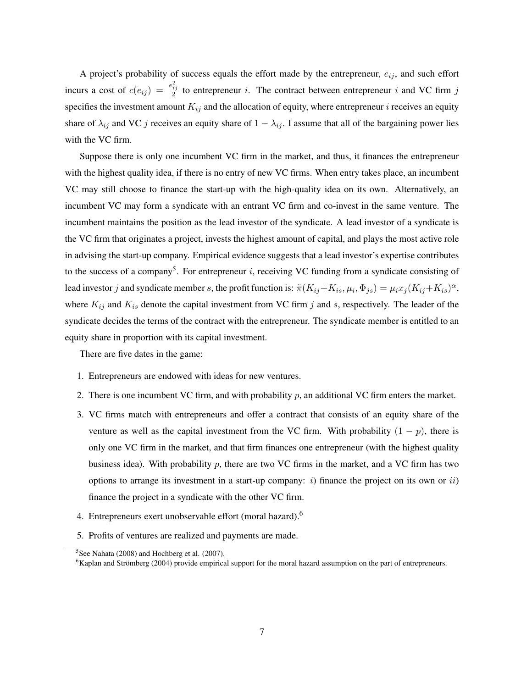A project's probability of success equals the effort made by the entrepreneur,  $e_{ij}$ , and such effort incurs a cost of  $c(e_{ij}) = \frac{e_{ij}^2}{2}$  to entrepreneur i. The contract between entrepreneur i and VC firm j specifies the investment amount  $K_{ij}$  and the allocation of equity, where entrepreneur *i* receives an equity share of  $\lambda_{ij}$  and VC j receives an equity share of  $1 - \lambda_{ij}$ . I assume that all of the bargaining power lies with the VC firm.

Suppose there is only one incumbent VC firm in the market, and thus, it finances the entrepreneur with the highest quality idea, if there is no entry of new VC firms. When entry takes place, an incumbent VC may still choose to finance the start-up with the high-quality idea on its own. Alternatively, an incumbent VC may form a syndicate with an entrant VC firm and co-invest in the same venture. The incumbent maintains the position as the lead investor of the syndicate. A lead investor of a syndicate is the VC firm that originates a project, invests the highest amount of capital, and plays the most active role in advising the start-up company. Empirical evidence suggests that a lead investor's expertise contributes to the success of a company<sup>5</sup>. For entrepreneur  $i$ , receiving VC funding from a syndicate consisting of lead investor j and syndicate member s, the profit function is:  $\tilde{\pi}(K_{ij}+K_{is},\mu_i,\Phi_{js})=\mu_ix_j(K_{ij}+K_{is})^{\alpha}$ , where  $K_{ij}$  and  $K_{is}$  denote the capital investment from VC firm j and s, respectively. The leader of the syndicate decides the terms of the contract with the entrepreneur. The syndicate member is entitled to an equity share in proportion with its capital investment.

There are five dates in the game:

- 1. Entrepreneurs are endowed with ideas for new ventures.
- 2. There is one incumbent VC firm, and with probability  $p$ , an additional VC firm enters the market.
- 3. VC firms match with entrepreneurs and offer a contract that consists of an equity share of the venture as well as the capital investment from the VC firm. With probability  $(1 - p)$ , there is only one VC firm in the market, and that firm finances one entrepreneur (with the highest quality business idea). With probability p, there are two VC firms in the market, and a VC firm has two options to arrange its investment in a start-up company:  $i$ ) finance the project on its own or  $ii$ ) finance the project in a syndicate with the other VC firm.
- 4. Entrepreneurs exert unobservable effort (moral hazard).<sup>6</sup>
- 5. Profits of ventures are realized and payments are made.

<sup>&</sup>lt;sup>5</sup>See Nahata (2008) and Hochberg et al. (2007).

<sup>6</sup>Kaplan and Strömberg (2004) provide empirical support for the moral hazard assumption on the part of entrepreneurs.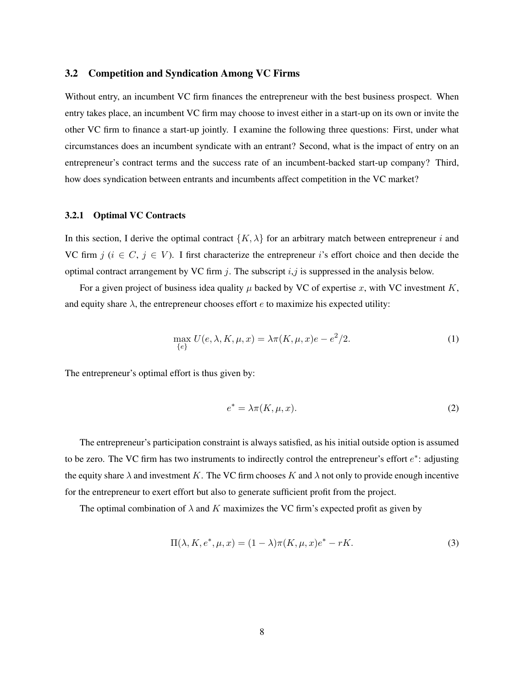#### 3.2 Competition and Syndication Among VC Firms

Without entry, an incumbent VC firm finances the entrepreneur with the best business prospect. When entry takes place, an incumbent VC firm may choose to invest either in a start-up on its own or invite the other VC firm to finance a start-up jointly. I examine the following three questions: First, under what circumstances does an incumbent syndicate with an entrant? Second, what is the impact of entry on an entrepreneur's contract terms and the success rate of an incumbent-backed start-up company? Third, how does syndication between entrants and incumbents affect competition in the VC market?

### 3.2.1 Optimal VC Contracts

In this section, I derive the optimal contract  $\{K, \lambda\}$  for an arbitrary match between entrepreneur i and VC firm  $j$  ( $i \in C$ ,  $j \in V$ ). I first characterize the entrepreneur i's effort choice and then decide the optimal contract arrangement by VC firm  $j$ . The subscript  $i, j$  is suppressed in the analysis below.

For a given project of business idea quality  $\mu$  backed by VC of expertise x, with VC investment K, and equity share  $\lambda$ , the entrepreneur chooses effort e to maximize his expected utility:

$$
\max_{\{e\}} U(e, \lambda, K, \mu, x) = \lambda \pi(K, \mu, x)e - e^2/2.
$$
 (1)

The entrepreneur's optimal effort is thus given by:

$$
e^* = \lambda \pi(K, \mu, x). \tag{2}
$$

The entrepreneur's participation constraint is always satisfied, as his initial outside option is assumed to be zero. The VC firm has two instruments to indirectly control the entrepreneur's effort  $e^*$ : adjusting the equity share  $\lambda$  and investment K. The VC firm chooses K and  $\lambda$  not only to provide enough incentive for the entrepreneur to exert effort but also to generate sufficient profit from the project.

The optimal combination of  $\lambda$  and K maximizes the VC firm's expected profit as given by

$$
\Pi(\lambda, K, e^*, \mu, x) = (1 - \lambda)\pi(K, \mu, x)e^* - rK.
$$
\n(3)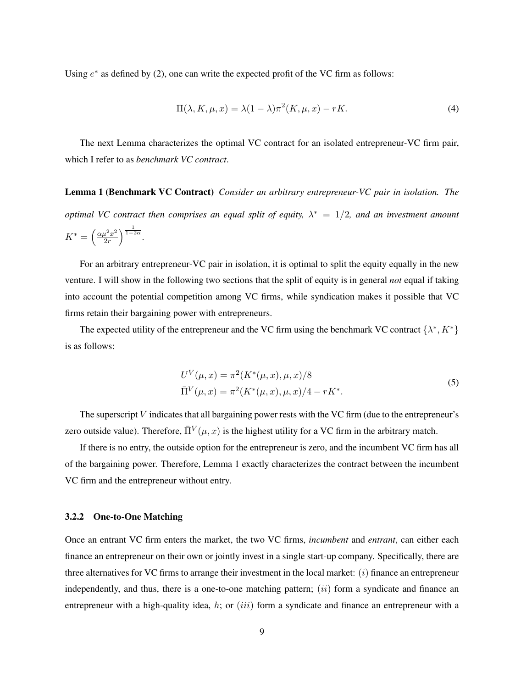Using  $e^*$  as defined by (2), one can write the expected profit of the VC firm as follows:

$$
\Pi(\lambda, K, \mu, x) = \lambda (1 - \lambda) \pi^2(K, \mu, x) - rK. \tag{4}
$$

The next Lemma characterizes the optimal VC contract for an isolated entrepreneur-VC firm pair, which I refer to as *benchmark VC contract*.

Lemma 1 (Benchmark VC Contract) *Consider an arbitrary entrepreneur-VC pair in isolation. The optimal VC contract then comprises an equal split of equity,*  $\lambda^* = 1/2$ , and an investment amount  $K^* = \left(\frac{\alpha \mu^2 x^2}{2r}\right)$  $rac{1}{2r}$ <sup>2</sup> $rac{1}{2r}$ <sup>1</sup> $rac{1}{1-2\alpha}$ .

For an arbitrary entrepreneur-VC pair in isolation, it is optimal to split the equity equally in the new venture. I will show in the following two sections that the split of equity is in general *not* equal if taking into account the potential competition among VC firms, while syndication makes it possible that VC firms retain their bargaining power with entrepreneurs.

The expected utility of the entrepreneur and the VC firm using the benchmark VC contract  $\{\lambda^*, K^*\}$ is as follows:

$$
U^{V}(\mu, x) = \pi^{2}(K^{*}(\mu, x), \mu, x)/8
$$
  
\n
$$
\bar{\Pi}^{V}(\mu, x) = \pi^{2}(K^{*}(\mu, x), \mu, x)/4 - rK^{*}.
$$
\n(5)

The superscript  $V$  indicates that all bargaining power rests with the VC firm (due to the entrepreneur's zero outside value). Therefore,  $\bar{\Pi}^V(\mu, x)$  is the highest utility for a VC firm in the arbitrary match.

If there is no entry, the outside option for the entrepreneur is zero, and the incumbent VC firm has all of the bargaining power. Therefore, Lemma 1 exactly characterizes the contract between the incumbent VC firm and the entrepreneur without entry.

#### 3.2.2 One-to-One Matching

Once an entrant VC firm enters the market, the two VC firms, *incumbent* and *entrant*, can either each finance an entrepreneur on their own or jointly invest in a single start-up company. Specifically, there are three alternatives for VC firms to arrange their investment in the local market:  $(i)$  finance an entrepreneur independently, and thus, there is a one-to-one matching pattern;  $(ii)$  form a syndicate and finance an entrepreneur with a high-quality idea, h; or *(iii)* form a syndicate and finance an entrepreneur with a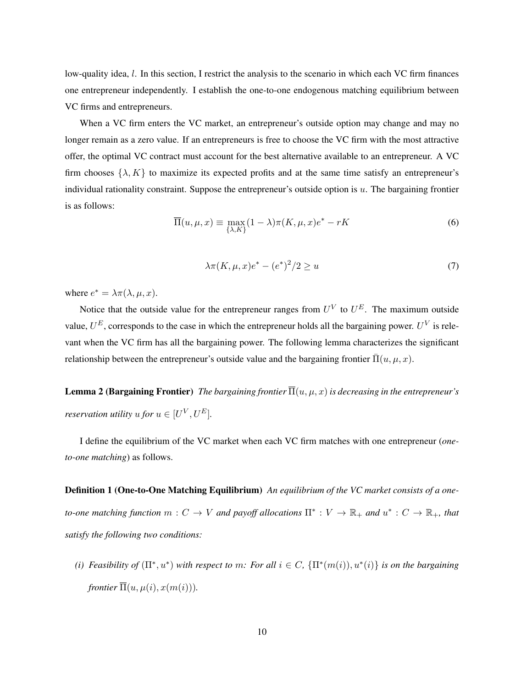low-quality idea, l. In this section, I restrict the analysis to the scenario in which each VC firm finances one entrepreneur independently. I establish the one-to-one endogenous matching equilibrium between VC firms and entrepreneurs.

When a VC firm enters the VC market, an entrepreneur's outside option may change and may no longer remain as a zero value. If an entrepreneurs is free to choose the VC firm with the most attractive offer, the optimal VC contract must account for the best alternative available to an entrepreneur. A VC firm chooses  $\{\lambda, K\}$  to maximize its expected profits and at the same time satisfy an entrepreneur's individual rationality constraint. Suppose the entrepreneur's outside option is  $u$ . The bargaining frontier is as follows:

$$
\overline{\Pi}(u,\mu,x) \equiv \max_{\{\lambda,K\}} (1-\lambda)\pi(K,\mu,x)e^* - rK
$$
\n(6)

$$
\lambda \pi(K, \mu, x)e^* - (e^*)^2/2 \ge u \tag{7}
$$

where  $e^* = \lambda \pi(\lambda, \mu, x)$ .

Notice that the outside value for the entrepreneur ranges from  $U^V$  to  $U^E$ . The maximum outside value,  $U^E$ , corresponds to the case in which the entrepreneur holds all the bargaining power.  $U^V$  is relevant when the VC firm has all the bargaining power. The following lemma characterizes the significant relationship between the entrepreneur's outside value and the bargaining frontier  $\overline{\Pi}(u, \mu, x)$ .

**Lemma 2 (Bargaining Frontier)** *The bargaining frontier*  $\overline{\Pi}(u, \mu, x)$  *is decreasing in the entrepreneur's reservation utility*  $u$  *for*  $u \in [U^V, U^E]$ .

I define the equilibrium of the VC market when each VC firm matches with one entrepreneur (*oneto-one matching*) as follows.

Definition 1 (One-to-One Matching Equilibrium) *An equilibrium of the VC market consists of a oneto-one matching function*  $m: C \to V$  *and payoff allocations*  $\Pi^*: V \to \mathbb{R}_+$  *and*  $u^*: C \to \mathbb{R}_+$ *, that satisfy the following two conditions:*

(*i*) *Feasibility of*  $(\Pi^*, u^*)$  *with respect to m: For all*  $i \in C$ ,  $\{\Pi^*(m(i)), u^*(i)\}\$  *is on the bargaining frontier*  $\overline{\Pi}(u, \mu(i), x(m(i)))$ .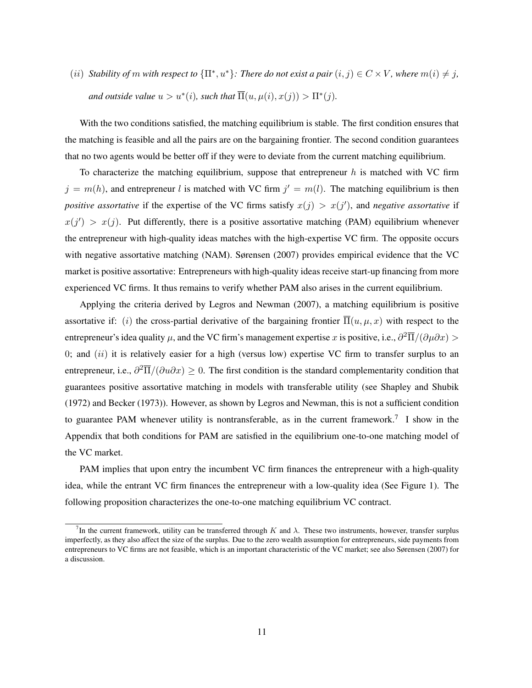(ii) *Stability of* m with respect to  $\{\Pi^*, u^*\}$ : There do not exist a pair  $(i, j) \in C \times V$ , where  $m(i) \neq j$ , and outside value  $u > u^*(i)$ , such that  $\overline{\Pi}(u, \mu(i), x(j)) > \Pi^*(j)$ .

With the two conditions satisfied, the matching equilibrium is stable. The first condition ensures that the matching is feasible and all the pairs are on the bargaining frontier. The second condition guarantees that no two agents would be better off if they were to deviate from the current matching equilibrium.

To characterize the matching equilibrium, suppose that entrepreneur  $h$  is matched with VC firm  $j = m(h)$ , and entrepreneur l is matched with VC firm  $j' = m(l)$ . The matching equilibrium is then *positive assortative* if the expertise of the VC firms satisfy  $x(j) > x(j')$ , and *negative assortative* if  $x(j') > x(j)$ . Put differently, there is a positive assortative matching (PAM) equilibrium whenever the entrepreneur with high-quality ideas matches with the high-expertise VC firm. The opposite occurs with negative assortative matching (NAM). Sørensen (2007) provides empirical evidence that the VC market is positive assortative: Entrepreneurs with high-quality ideas receive start-up financing from more experienced VC firms. It thus remains to verify whether PAM also arises in the current equilibrium.

Applying the criteria derived by Legros and Newman (2007), a matching equilibrium is positive assortative if: (i) the cross-partial derivative of the bargaining frontier  $\overline{\Pi}(u,\mu,x)$  with respect to the entrepreneur's idea quality  $\mu$ , and the VC firm's management expertise x is positive, i.e.,  $\partial^2 \overline\Pi/(\partial \mu \partial x)$  > 0; and  $(ii)$  it is relatively easier for a high (versus low) expertise VC firm to transfer surplus to an entrepreneur, i.e.,  $\partial^2 \overline{\Pi}/(\partial u \partial x) \geq 0$ . The first condition is the standard complementarity condition that guarantees positive assortative matching in models with transferable utility (see Shapley and Shubik (1972) and Becker (1973)). However, as shown by Legros and Newman, this is not a sufficient condition to guarantee PAM whenever utility is nontransferable, as in the current framework.<sup>7</sup> I show in the Appendix that both conditions for PAM are satisfied in the equilibrium one-to-one matching model of the VC market.

PAM implies that upon entry the incumbent VC firm finances the entrepreneur with a high-quality idea, while the entrant VC firm finances the entrepreneur with a low-quality idea (See Figure 1). The following proposition characterizes the one-to-one matching equilibrium VC contract.

<sup>&</sup>lt;sup>7</sup>In the current framework, utility can be transferred through K and  $\lambda$ . These two instruments, however, transfer surplus imperfectly, as they also affect the size of the surplus. Due to the zero wealth assumption for entrepreneurs, side payments from entrepreneurs to VC firms are not feasible, which is an important characteristic of the VC market; see also Sørensen (2007) for a discussion.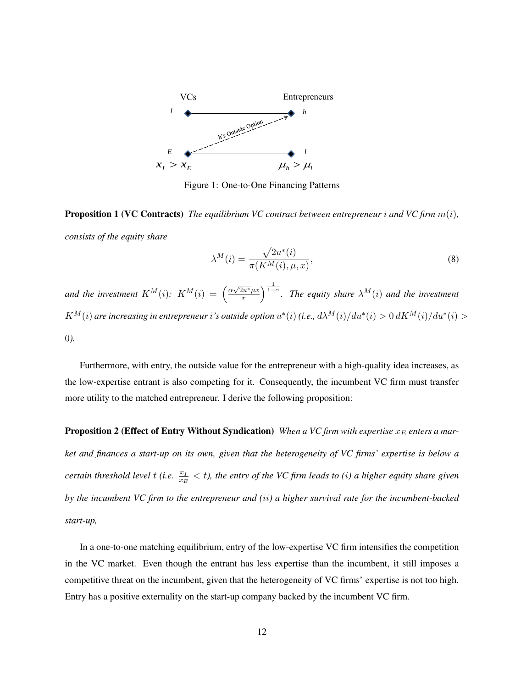

Figure 1: One-to-One Financing Patterns

Proposition 1 (VC Contracts) *The equilibrium VC contract between entrepreneur* i *and VC firm* m(i)*, consists of the equity share*

$$
\lambda^{M}(i) = \frac{\sqrt{2u^{*}(i)}}{\pi(K^{M}(i), \mu, x)},
$$
\n(8)

*and the investment*  $K^M(i)$ :  $K^M(i) = \left(\frac{\alpha \sqrt{2u^*} \mu x}{r}\right)$  $\sqrt{\frac{du^*}{r}} \mu x$   $\Big)^{\frac{1}{1-\alpha}}$ . The equity share  $\lambda^M(i)$  and the investment  $K^M(i)$  are increasing in entrepreneur  $i$  's outside option  $u^*(i)$  (i.e.,  $d\lambda^M(i)/du^*(i)>0$   $dK^M(i)/du^*(i)>0$ 0*).*

Furthermore, with entry, the outside value for the entrepreneur with a high-quality idea increases, as the low-expertise entrant is also competing for it. Consequently, the incumbent VC firm must transfer more utility to the matched entrepreneur. I derive the following proposition:

Proposition 2 (Effect of Entry Without Syndication) *When a VC firm with expertise*  $x_E$  *enters a market and finances a start-up on its own, given that the heterogeneity of VC firms' expertise is below a certain threshold level*  $\underline{t}$  *(i.e.*  $\frac{x_I}{x_E} < \underline{t}$ *), the entry of the VC firm leads to (i) a higher equity share given by the incumbent VC firm to the entrepreneur and (*ii*) a higher survival rate for the incumbent-backed start-up,*

In a one-to-one matching equilibrium, entry of the low-expertise VC firm intensifies the competition in the VC market. Even though the entrant has less expertise than the incumbent, it still imposes a competitive threat on the incumbent, given that the heterogeneity of VC firms' expertise is not too high. Entry has a positive externality on the start-up company backed by the incumbent VC firm.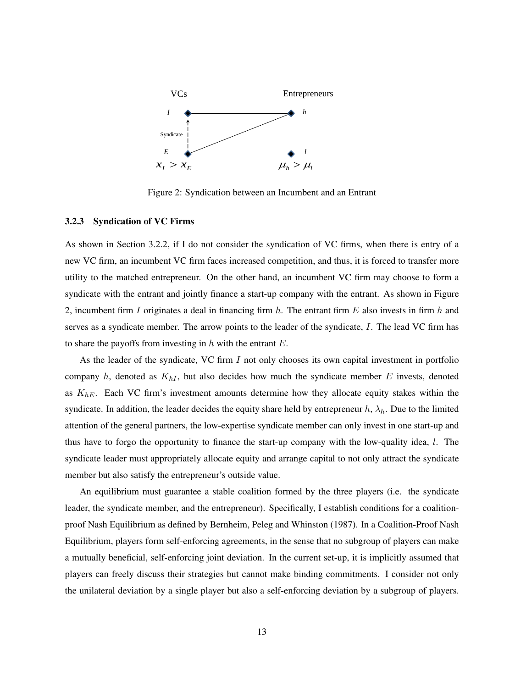

Figure 2: Syndication between an Incumbent and an Entrant

#### 3.2.3 Syndication of VC Firms

As shown in Section 3.2.2, if I do not consider the syndication of VC firms, when there is entry of a new VC firm, an incumbent VC firm faces increased competition, and thus, it is forced to transfer more utility to the matched entrepreneur. On the other hand, an incumbent VC firm may choose to form a syndicate with the entrant and jointly finance a start-up company with the entrant. As shown in Figure 2, incumbent firm  $I$  originates a deal in financing firm  $h$ . The entrant firm  $E$  also invests in firm  $h$  and serves as a syndicate member. The arrow points to the leader of the syndicate, I. The lead VC firm has to share the payoffs from investing in  $h$  with the entrant  $E$ .

As the leader of the syndicate, VC firm I not only chooses its own capital investment in portfolio company  $h$ , denoted as  $K_{hI}$ , but also decides how much the syndicate member  $E$  invests, denoted as  $K_{hE}$ . Each VC firm's investment amounts determine how they allocate equity stakes within the syndicate. In addition, the leader decides the equity share held by entrepreneur  $h$ ,  $\lambda_h$ . Due to the limited attention of the general partners, the low-expertise syndicate member can only invest in one start-up and thus have to forgo the opportunity to finance the start-up company with the low-quality idea, l. The syndicate leader must appropriately allocate equity and arrange capital to not only attract the syndicate member but also satisfy the entrepreneur's outside value.

An equilibrium must guarantee a stable coalition formed by the three players (i.e. the syndicate leader, the syndicate member, and the entrepreneur). Specifically, I establish conditions for a coalitionproof Nash Equilibrium as defined by Bernheim, Peleg and Whinston (1987). In a Coalition-Proof Nash Equilibrium, players form self-enforcing agreements, in the sense that no subgroup of players can make a mutually beneficial, self-enforcing joint deviation. In the current set-up, it is implicitly assumed that players can freely discuss their strategies but cannot make binding commitments. I consider not only the unilateral deviation by a single player but also a self-enforcing deviation by a subgroup of players.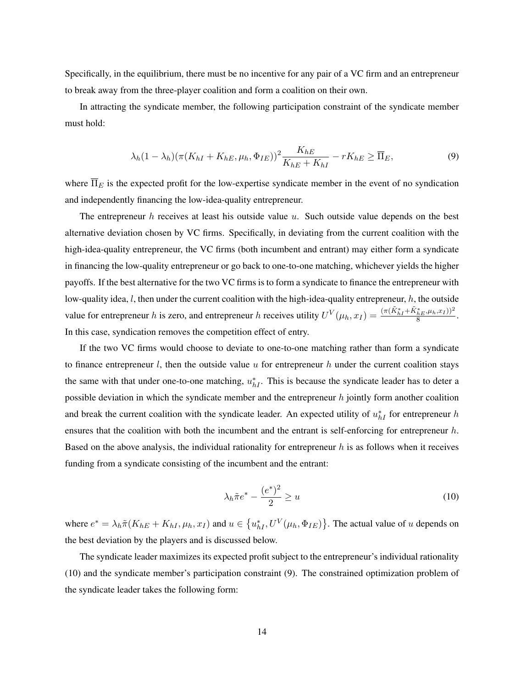Specifically, in the equilibrium, there must be no incentive for any pair of a VC firm and an entrepreneur to break away from the three-player coalition and form a coalition on their own.

In attracting the syndicate member, the following participation constraint of the syndicate member must hold:

$$
\lambda_h (1 - \lambda_h) (\pi (K_{hI} + K_{hE}, \mu_h, \Phi_{IE}))^2 \frac{K_{hE}}{K_{hE} + K_{hI}} - rK_{hE} \ge \overline{\Pi}_E,
$$
\n(9)

where  $\overline{\Pi}_E$  is the expected profit for the low-expertise syndicate member in the event of no syndication and independently financing the low-idea-quality entrepreneur.

The entrepreneur  $h$  receives at least his outside value  $u$ . Such outside value depends on the best alternative deviation chosen by VC firms. Specifically, in deviating from the current coalition with the high-idea-quality entrepreneur, the VC firms (both incumbent and entrant) may either form a syndicate in financing the low-quality entrepreneur or go back to one-to-one matching, whichever yields the higher payoffs. If the best alternative for the two VC firms is to form a syndicate to finance the entrepreneur with low-quality idea,  $l$ , then under the current coalition with the high-idea-quality entrepreneur,  $h$ , the outside value for entrepreneur h is zero, and entrepreneur h receives utility  $U^V(\mu_h, x_I) = \frac{(\pi (\tilde{K}_{hI}^* + \tilde{K}_{hE}^* , \mu_h, x_I))^2}{8}$ . In this case, syndication removes the competition effect of entry.

If the two VC firms would choose to deviate to one-to-one matching rather than form a syndicate to finance entrepreneur  $l$ , then the outside value  $u$  for entrepreneur  $h$  under the current coalition stays the same with that under one-to-one matching,  $u_{hI}^*$ . This is because the syndicate leader has to deter a possible deviation in which the syndicate member and the entrepreneur  $h$  jointly form another coalition and break the current coalition with the syndicate leader. An expected utility of  $u_{hI}^*$  for entrepreneur h ensures that the coalition with both the incumbent and the entrant is self-enforcing for entrepreneur  $h$ . Based on the above analysis, the individual rationality for entrepreneur  $h$  is as follows when it receives funding from a syndicate consisting of the incumbent and the entrant:

$$
\lambda_h \tilde{\pi} e^* - \frac{(e^*)^2}{2} \ge u \tag{10}
$$

where  $e^* = \lambda_h \tilde{\pi}(K_{hE} + K_{hI}, \mu_h, x_I)$  and  $u \in \{u_{hI}^*, U^V(\mu_h, \Phi_{IE})\}$ . The actual value of u depends on the best deviation by the players and is discussed below.

The syndicate leader maximizes its expected profit subject to the entrepreneur's individual rationality (10) and the syndicate member's participation constraint (9). The constrained optimization problem of the syndicate leader takes the following form: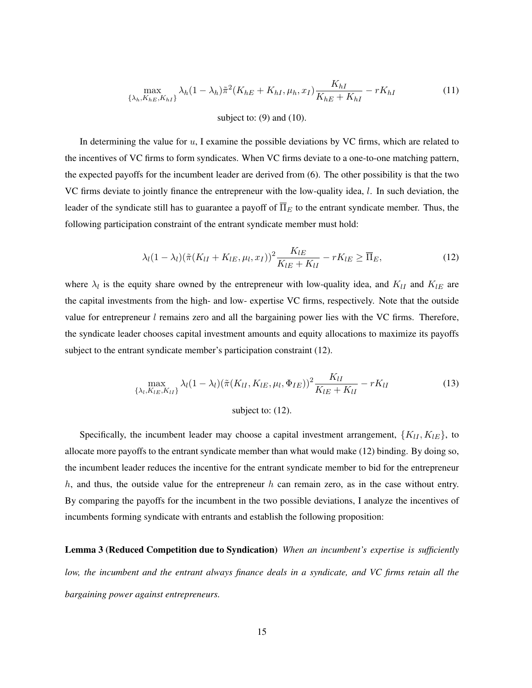$$
\max_{\{\lambda_h, K_{hE}, K_{hI}\}} \lambda_h (1 - \lambda_h) \tilde{\pi}^2 (K_{hE} + K_{hI}, \mu_h, x_I) \frac{K_{hI}}{K_{hE} + K_{hI}} - rK_{hI}
$$
 (11)

subject to:  $(9)$  and  $(10)$ .

In determining the value for  $u$ , I examine the possible deviations by VC firms, which are related to the incentives of VC firms to form syndicates. When VC firms deviate to a one-to-one matching pattern, the expected payoffs for the incumbent leader are derived from (6). The other possibility is that the two VC firms deviate to jointly finance the entrepreneur with the low-quality idea, l. In such deviation, the leader of the syndicate still has to guarantee a payoff of  $\overline{\Pi}_E$  to the entrant syndicate member. Thus, the following participation constraint of the entrant syndicate member must hold:

$$
\lambda_l (1 - \lambda_l) (\tilde{\pi}(K_{lI} + K_{lE}, \mu_l, x_I))^2 \frac{K_{lE}}{K_{lE} + K_{lI}} - rK_{lE} \geq \overline{\Pi}_E, \tag{12}
$$

where  $\lambda_l$  is the equity share owned by the entrepreneur with low-quality idea, and  $K_{lI}$  and  $K_{lE}$  are the capital investments from the high- and low- expertise VC firms, respectively. Note that the outside value for entrepreneur  $l$  remains zero and all the bargaining power lies with the VC firms. Therefore, the syndicate leader chooses capital investment amounts and equity allocations to maximize its payoffs subject to the entrant syndicate member's participation constraint (12).

$$
\max_{\{\lambda_l, K_{lE}, K_{lI}\}} \lambda_l (1 - \lambda_l) (\tilde{\pi}(K_{lI}, K_{lE}, \mu_l, \Phi_{IE}))^2 \frac{K_{lI}}{K_{lE} + K_{lI}} - rK_{lI}
$$
(13)

subject to: 
$$
(12)
$$
.

Specifically, the incumbent leader may choose a capital investment arrangement,  ${K_{II}, K_{IE}}$ , to allocate more payoffs to the entrant syndicate member than what would make (12) binding. By doing so, the incumbent leader reduces the incentive for the entrant syndicate member to bid for the entrepreneur  $h$ , and thus, the outside value for the entrepreneur  $h$  can remain zero, as in the case without entry. By comparing the payoffs for the incumbent in the two possible deviations, I analyze the incentives of incumbents forming syndicate with entrants and establish the following proposition:

Lemma 3 (Reduced Competition due to Syndication) *When an incumbent's expertise is sufficiently low, the incumbent and the entrant always finance deals in a syndicate, and VC firms retain all the bargaining power against entrepreneurs.*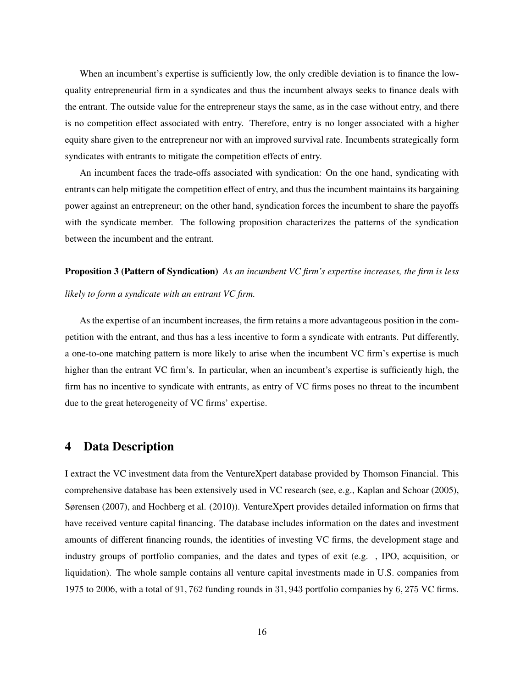When an incumbent's expertise is sufficiently low, the only credible deviation is to finance the lowquality entrepreneurial firm in a syndicates and thus the incumbent always seeks to finance deals with the entrant. The outside value for the entrepreneur stays the same, as in the case without entry, and there is no competition effect associated with entry. Therefore, entry is no longer associated with a higher equity share given to the entrepreneur nor with an improved survival rate. Incumbents strategically form syndicates with entrants to mitigate the competition effects of entry.

An incumbent faces the trade-offs associated with syndication: On the one hand, syndicating with entrants can help mitigate the competition effect of entry, and thus the incumbent maintains its bargaining power against an entrepreneur; on the other hand, syndication forces the incumbent to share the payoffs with the syndicate member. The following proposition characterizes the patterns of the syndication between the incumbent and the entrant.

## Proposition 3 (Pattern of Syndication) *As an incumbent VC firm's expertise increases, the firm is less likely to form a syndicate with an entrant VC firm.*

As the expertise of an incumbent increases, the firm retains a more advantageous position in the competition with the entrant, and thus has a less incentive to form a syndicate with entrants. Put differently, a one-to-one matching pattern is more likely to arise when the incumbent VC firm's expertise is much higher than the entrant VC firm's. In particular, when an incumbent's expertise is sufficiently high, the firm has no incentive to syndicate with entrants, as entry of VC firms poses no threat to the incumbent due to the great heterogeneity of VC firms' expertise.

## 4 Data Description

I extract the VC investment data from the VentureXpert database provided by Thomson Financial. This comprehensive database has been extensively used in VC research (see, e.g., Kaplan and Schoar (2005), Sørensen (2007), and Hochberg et al. (2010)). VentureXpert provides detailed information on firms that have received venture capital financing. The database includes information on the dates and investment amounts of different financing rounds, the identities of investing VC firms, the development stage and industry groups of portfolio companies, and the dates and types of exit (e.g. , IPO, acquisition, or liquidation). The whole sample contains all venture capital investments made in U.S. companies from 1975 to 2006, with a total of 91, 762 funding rounds in 31, 943 portfolio companies by 6, 275 VC firms.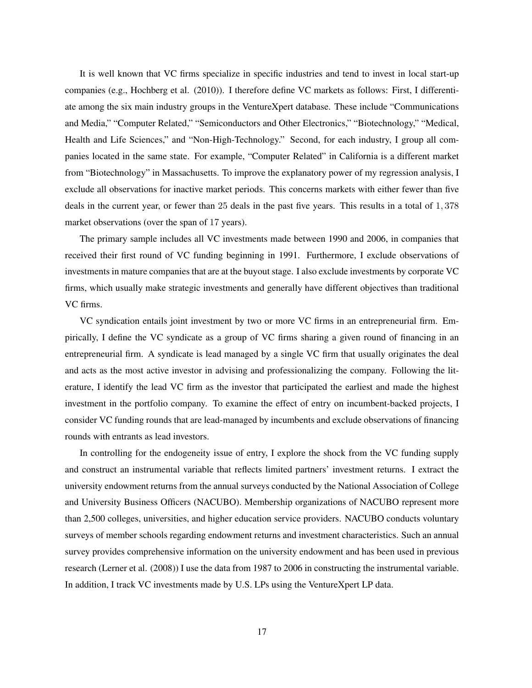It is well known that VC firms specialize in specific industries and tend to invest in local start-up companies (e.g., Hochberg et al. (2010)). I therefore define VC markets as follows: First, I differentiate among the six main industry groups in the VentureXpert database. These include "Communications and Media," "Computer Related," "Semiconductors and Other Electronics," "Biotechnology," "Medical, Health and Life Sciences," and "Non-High-Technology." Second, for each industry, I group all companies located in the same state. For example, "Computer Related" in California is a different market from "Biotechnology" in Massachusetts. To improve the explanatory power of my regression analysis, I exclude all observations for inactive market periods. This concerns markets with either fewer than five deals in the current year, or fewer than 25 deals in the past five years. This results in a total of 1, 378 market observations (over the span of 17 years).

The primary sample includes all VC investments made between 1990 and 2006, in companies that received their first round of VC funding beginning in 1991. Furthermore, I exclude observations of investments in mature companies that are at the buyout stage. I also exclude investments by corporate VC firms, which usually make strategic investments and generally have different objectives than traditional VC firms.

VC syndication entails joint investment by two or more VC firms in an entrepreneurial firm. Empirically, I define the VC syndicate as a group of VC firms sharing a given round of financing in an entrepreneurial firm. A syndicate is lead managed by a single VC firm that usually originates the deal and acts as the most active investor in advising and professionalizing the company. Following the literature, I identify the lead VC firm as the investor that participated the earliest and made the highest investment in the portfolio company. To examine the effect of entry on incumbent-backed projects, I consider VC funding rounds that are lead-managed by incumbents and exclude observations of financing rounds with entrants as lead investors.

In controlling for the endogeneity issue of entry, I explore the shock from the VC funding supply and construct an instrumental variable that reflects limited partners' investment returns. I extract the university endowment returns from the annual surveys conducted by the National Association of College and University Business Officers (NACUBO). Membership organizations of NACUBO represent more than 2,500 colleges, universities, and higher education service providers. NACUBO conducts voluntary surveys of member schools regarding endowment returns and investment characteristics. Such an annual survey provides comprehensive information on the university endowment and has been used in previous research (Lerner et al. (2008)) I use the data from 1987 to 2006 in constructing the instrumental variable. In addition, I track VC investments made by U.S. LPs using the VentureXpert LP data.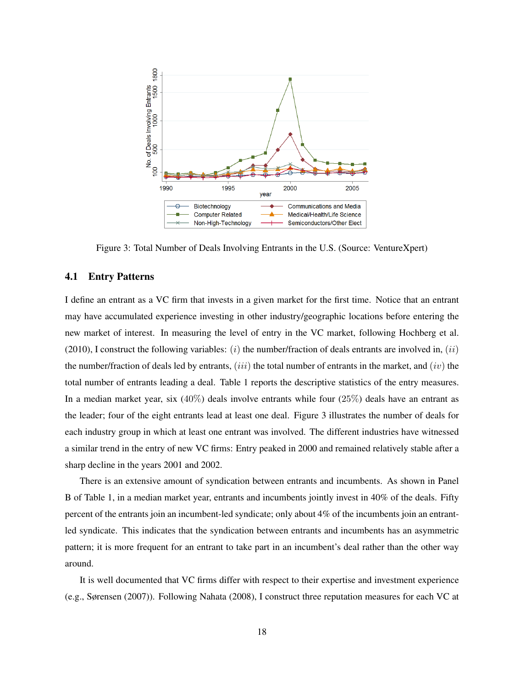

Figure 3: Total Number of Deals Involving Entrants in the U.S. (Source: VentureXpert)

#### 4.1 Entry Patterns

I define an entrant as a VC firm that invests in a given market for the first time. Notice that an entrant may have accumulated experience investing in other industry/geographic locations before entering the new market of interest. In measuring the level of entry in the VC market, following Hochberg et al. (2010), I construct the following variables: (i) the number/fraction of deals entrants are involved in, (ii) the number/fraction of deals led by entrants, (iii) the total number of entrants in the market, and (iv) the total number of entrants leading a deal. Table 1 reports the descriptive statistics of the entry measures. In a median market year, six (40%) deals involve entrants while four (25%) deals have an entrant as the leader; four of the eight entrants lead at least one deal. Figure 3 illustrates the number of deals for each industry group in which at least one entrant was involved. The different industries have witnessed a similar trend in the entry of new VC firms: Entry peaked in 2000 and remained relatively stable after a sharp decline in the years 2001 and 2002.

There is an extensive amount of syndication between entrants and incumbents. As shown in Panel B of Table 1, in a median market year, entrants and incumbents jointly invest in 40% of the deals. Fifty percent of the entrants join an incumbent-led syndicate; only about 4% of the incumbents join an entrantled syndicate. This indicates that the syndication between entrants and incumbents has an asymmetric pattern; it is more frequent for an entrant to take part in an incumbent's deal rather than the other way around.

It is well documented that VC firms differ with respect to their expertise and investment experience (e.g., Sørensen (2007)). Following Nahata (2008), I construct three reputation measures for each VC at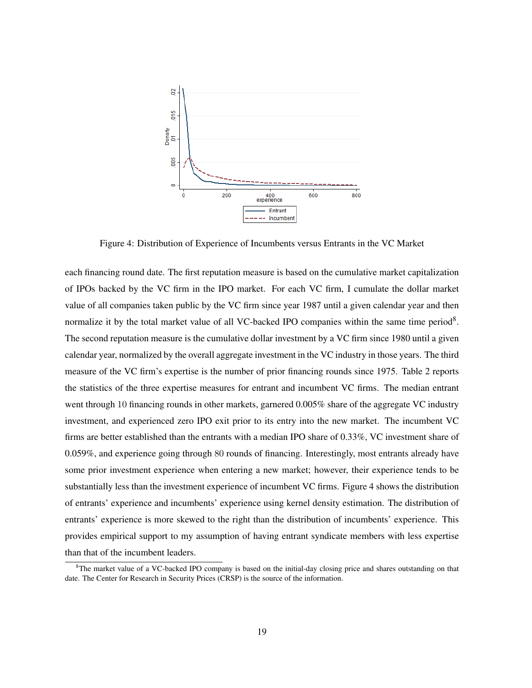

Figure 4: Distribution of Experience of Incumbents versus Entrants in the VC Market

each financing round date. The first reputation measure is based on the cumulative market capitalization of IPOs backed by the VC firm in the IPO market. For each VC firm, I cumulate the dollar market value of all companies taken public by the VC firm since year 1987 until a given calendar year and then normalize it by the total market value of all VC-backed IPO companies within the same time period $8$ . The second reputation measure is the cumulative dollar investment by a VC firm since 1980 until a given calendar year, normalized by the overall aggregate investment in the VC industry in those years. The third measure of the VC firm's expertise is the number of prior financing rounds since 1975. Table 2 reports the statistics of the three expertise measures for entrant and incumbent VC firms. The median entrant went through 10 financing rounds in other markets, garnered 0.005% share of the aggregate VC industry investment, and experienced zero IPO exit prior to its entry into the new market. The incumbent VC firms are better established than the entrants with a median IPO share of 0.33%, VC investment share of 0.059%, and experience going through 80 rounds of financing. Interestingly, most entrants already have some prior investment experience when entering a new market; however, their experience tends to be substantially less than the investment experience of incumbent VC firms. Figure 4 shows the distribution of entrants' experience and incumbents' experience using kernel density estimation. The distribution of entrants' experience is more skewed to the right than the distribution of incumbents' experience. This provides empirical support to my assumption of having entrant syndicate members with less expertise than that of the incumbent leaders.

 ${}^{8}$ The market value of a VC-backed IPO company is based on the initial-day closing price and shares outstanding on that date. The Center for Research in Security Prices (CRSP) is the source of the information.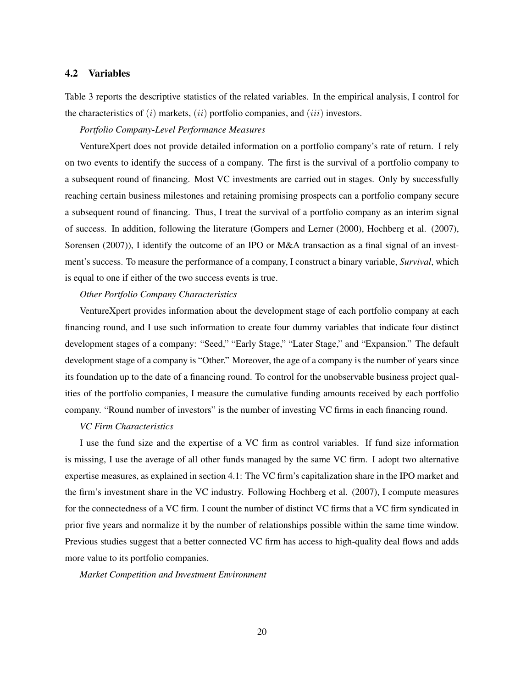### 4.2 Variables

Table 3 reports the descriptive statistics of the related variables. In the empirical analysis, I control for the characteristics of  $(i)$  markets,  $(ii)$  portfolio companies, and  $(iii)$  investors.

## *Portfolio Company-Level Performance Measures*

VentureXpert does not provide detailed information on a portfolio company's rate of return. I rely on two events to identify the success of a company. The first is the survival of a portfolio company to a subsequent round of financing. Most VC investments are carried out in stages. Only by successfully reaching certain business milestones and retaining promising prospects can a portfolio company secure a subsequent round of financing. Thus, I treat the survival of a portfolio company as an interim signal of success. In addition, following the literature (Gompers and Lerner (2000), Hochberg et al. (2007), Sorensen (2007)), I identify the outcome of an IPO or M&A transaction as a final signal of an investment's success. To measure the performance of a company, I construct a binary variable, *Survival*, which is equal to one if either of the two success events is true.

#### *Other Portfolio Company Characteristics*

VentureXpert provides information about the development stage of each portfolio company at each financing round, and I use such information to create four dummy variables that indicate four distinct development stages of a company: "Seed," "Early Stage," "Later Stage," and "Expansion." The default development stage of a company is "Other." Moreover, the age of a company is the number of years since its foundation up to the date of a financing round. To control for the unobservable business project qualities of the portfolio companies, I measure the cumulative funding amounts received by each portfolio company. "Round number of investors" is the number of investing VC firms in each financing round.

## *VC Firm Characteristics*

I use the fund size and the expertise of a VC firm as control variables. If fund size information is missing, I use the average of all other funds managed by the same VC firm. I adopt two alternative expertise measures, as explained in section 4.1: The VC firm's capitalization share in the IPO market and the firm's investment share in the VC industry. Following Hochberg et al. (2007), I compute measures for the connectedness of a VC firm. I count the number of distinct VC firms that a VC firm syndicated in prior five years and normalize it by the number of relationships possible within the same time window. Previous studies suggest that a better connected VC firm has access to high-quality deal flows and adds more value to its portfolio companies.

#### *Market Competition and Investment Environment*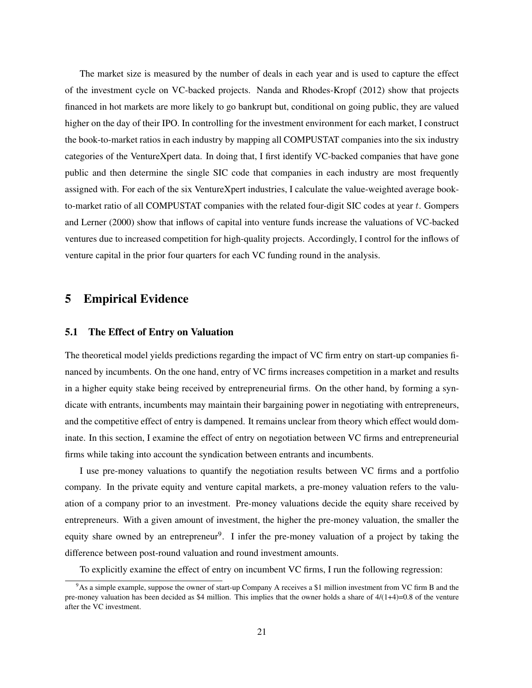The market size is measured by the number of deals in each year and is used to capture the effect of the investment cycle on VC-backed projects. Nanda and Rhodes-Kropf (2012) show that projects financed in hot markets are more likely to go bankrupt but, conditional on going public, they are valued higher on the day of their IPO. In controlling for the investment environment for each market, I construct the book-to-market ratios in each industry by mapping all COMPUSTAT companies into the six industry categories of the VentureXpert data. In doing that, I first identify VC-backed companies that have gone public and then determine the single SIC code that companies in each industry are most frequently assigned with. For each of the six VentureXpert industries, I calculate the value-weighted average bookto-market ratio of all COMPUSTAT companies with the related four-digit SIC codes at year  $t$ . Gompers and Lerner (2000) show that inflows of capital into venture funds increase the valuations of VC-backed ventures due to increased competition for high-quality projects. Accordingly, I control for the inflows of venture capital in the prior four quarters for each VC funding round in the analysis.

## 5 Empirical Evidence

## 5.1 The Effect of Entry on Valuation

The theoretical model yields predictions regarding the impact of VC firm entry on start-up companies financed by incumbents. On the one hand, entry of VC firms increases competition in a market and results in a higher equity stake being received by entrepreneurial firms. On the other hand, by forming a syndicate with entrants, incumbents may maintain their bargaining power in negotiating with entrepreneurs, and the competitive effect of entry is dampened. It remains unclear from theory which effect would dominate. In this section, I examine the effect of entry on negotiation between VC firms and entrepreneurial firms while taking into account the syndication between entrants and incumbents.

I use pre-money valuations to quantify the negotiation results between VC firms and a portfolio company. In the private equity and venture capital markets, a pre-money valuation refers to the valuation of a company prior to an investment. Pre-money valuations decide the equity share received by entrepreneurs. With a given amount of investment, the higher the pre-money valuation, the smaller the equity share owned by an entrepreneur<sup>9</sup>. I infer the pre-money valuation of a project by taking the difference between post-round valuation and round investment amounts.

To explicitly examine the effect of entry on incumbent VC firms, I run the following regression:

<sup>&</sup>lt;sup>9</sup>As a simple example, suppose the owner of start-up Company A receives a \$1 million investment from VC firm B and the pre-money valuation has been decided as \$4 million. This implies that the owner holds a share of  $4/(1+4)=0.8$  of the venture after the VC investment.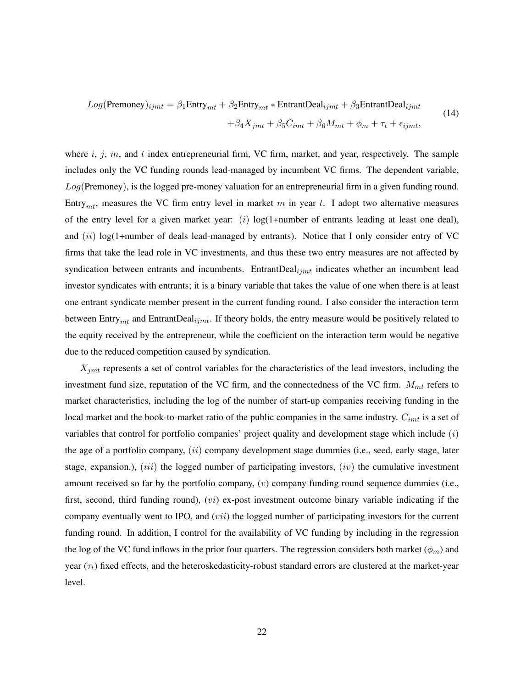$$
Log(Premoney)_{ijmt} = \beta_1 \text{Entry}_{mt} + \beta_2 \text{Entry}_{mt} * \text{EntrantDeal}_{ijmt} + \beta_3 \text{EntrantDeal}_{ijmt} + \beta_4 X_{jmt} + \beta_5 C_{imt} + \beta_6 M_{mt} + \phi_m + \tau_t + \epsilon_{ijmt},
$$
(14)

where  $i, j, m$ , and  $t$  index entrepreneurial firm, VC firm, market, and year, respectively. The sample includes only the VC funding rounds lead-managed by incumbent VC firms. The dependent variable,  $Log($ Premoney), is the logged pre-money valuation for an entrepreneurial firm in a given funding round. Entry<sub>mt</sub>, measures the VC firm entry level in market m in year t. I adopt two alternative measures of the entry level for a given market year: (i) log(1+number of entrants leading at least one deal), and  $(ii)$  log(1+number of deals lead-managed by entrants). Notice that I only consider entry of VC firms that take the lead role in VC investments, and thus these two entry measures are not affected by syndication between entrants and incumbents. EntrantDeal $_{iint}$  indicates whether an incumbent lead investor syndicates with entrants; it is a binary variable that takes the value of one when there is at least one entrant syndicate member present in the current funding round. I also consider the interaction term between  $\text{Entry}_{mt}$  and  $\text{EntrantDeal}_{ijmt}$ . If theory holds, the entry measure would be positively related to the equity received by the entrepreneur, while the coefficient on the interaction term would be negative due to the reduced competition caused by syndication.

 $X_{jmt}$  represents a set of control variables for the characteristics of the lead investors, including the investment fund size, reputation of the VC firm, and the connectedness of the VC firm.  $M_{mt}$  refers to market characteristics, including the log of the number of start-up companies receiving funding in the local market and the book-to-market ratio of the public companies in the same industry.  $C_{imt}$  is a set of variables that control for portfolio companies' project quality and development stage which include  $(i)$ the age of a portfolio company,  $(ii)$  company development stage dummies (i.e., seed, early stage, later stage, expansion.),  $(iii)$  the logged number of participating investors,  $(iv)$  the cumulative investment amount received so far by the portfolio company,  $(v)$  company funding round sequence dummies (i.e., first, second, third funding round),  $(vi)$  ex-post investment outcome binary variable indicating if the company eventually went to IPO, and (*vii*) the logged number of participating investors for the current funding round. In addition, I control for the availability of VC funding by including in the regression the log of the VC fund inflows in the prior four quarters. The regression considers both market  $(\phi_m)$  and year  $(\tau_t)$  fixed effects, and the heteroskedasticity-robust standard errors are clustered at the market-year level.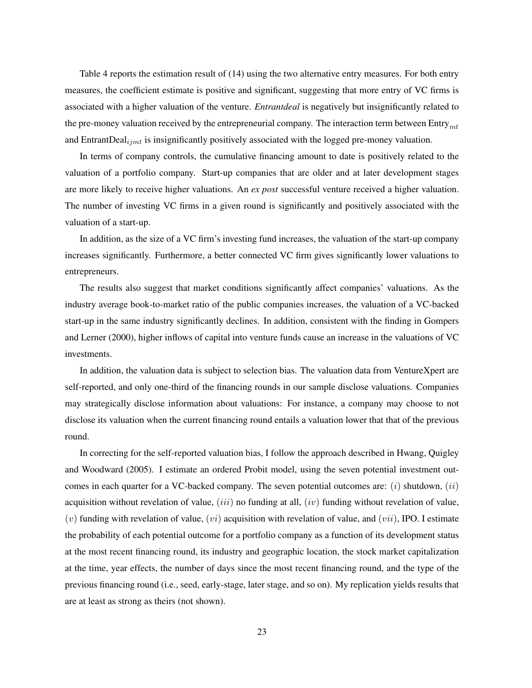Table 4 reports the estimation result of (14) using the two alternative entry measures. For both entry measures, the coefficient estimate is positive and significant, suggesting that more entry of VC firms is associated with a higher valuation of the venture. *Entrantdeal* is negatively but insignificantly related to the pre-money valuation received by the entrepreneurial company. The interaction term between Entry $_{mt}$ and EntrantDeal $_{ijmt}$  is insignificantly positively associated with the logged pre-money valuation.

In terms of company controls, the cumulative financing amount to date is positively related to the valuation of a portfolio company. Start-up companies that are older and at later development stages are more likely to receive higher valuations. An *ex post* successful venture received a higher valuation. The number of investing VC firms in a given round is significantly and positively associated with the valuation of a start-up.

In addition, as the size of a VC firm's investing fund increases, the valuation of the start-up company increases significantly. Furthermore, a better connected VC firm gives significantly lower valuations to entrepreneurs.

The results also suggest that market conditions significantly affect companies' valuations. As the industry average book-to-market ratio of the public companies increases, the valuation of a VC-backed start-up in the same industry significantly declines. In addition, consistent with the finding in Gompers and Lerner (2000), higher inflows of capital into venture funds cause an increase in the valuations of VC investments.

In addition, the valuation data is subject to selection bias. The valuation data from VentureXpert are self-reported, and only one-third of the financing rounds in our sample disclose valuations. Companies may strategically disclose information about valuations: For instance, a company may choose to not disclose its valuation when the current financing round entails a valuation lower that that of the previous round.

In correcting for the self-reported valuation bias, I follow the approach described in Hwang, Quigley and Woodward (2005). I estimate an ordered Probit model, using the seven potential investment outcomes in each quarter for a VC-backed company. The seven potential outcomes are:  $(i)$  shutdown,  $(ii)$ acquisition without revelation of value, (*iii*) no funding at all, (*iv*) funding without revelation of value, (v) funding with revelation of value, (vi) acquisition with revelation of value, and (vii), IPO. I estimate the probability of each potential outcome for a portfolio company as a function of its development status at the most recent financing round, its industry and geographic location, the stock market capitalization at the time, year effects, the number of days since the most recent financing round, and the type of the previous financing round (i.e., seed, early-stage, later stage, and so on). My replication yields results that are at least as strong as theirs (not shown).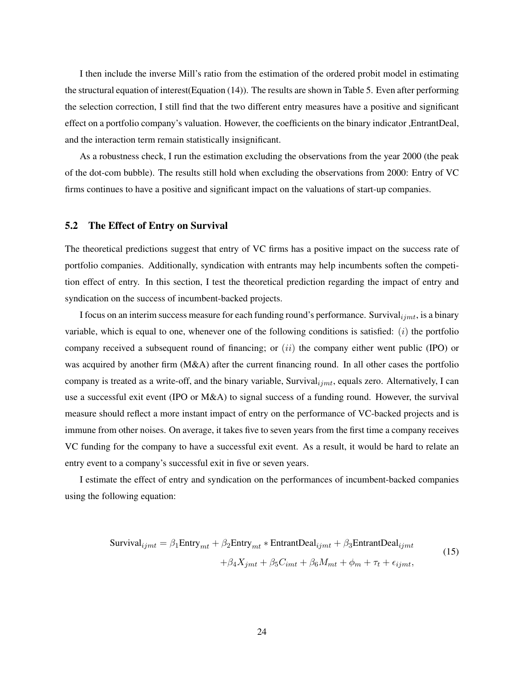I then include the inverse Mill's ratio from the estimation of the ordered probit model in estimating the structural equation of interest(Equation (14)). The results are shown in Table 5. Even after performing the selection correction, I still find that the two different entry measures have a positive and significant effect on a portfolio company's valuation. However, the coefficients on the binary indicator ,EntrantDeal, and the interaction term remain statistically insignificant.

As a robustness check, I run the estimation excluding the observations from the year 2000 (the peak of the dot-com bubble). The results still hold when excluding the observations from 2000: Entry of VC firms continues to have a positive and significant impact on the valuations of start-up companies.

## 5.2 The Effect of Entry on Survival

The theoretical predictions suggest that entry of VC firms has a positive impact on the success rate of portfolio companies. Additionally, syndication with entrants may help incumbents soften the competition effect of entry. In this section, I test the theoretical prediction regarding the impact of entry and syndication on the success of incumbent-backed projects.

I focus on an interim success measure for each funding round's performance. Survival $_{ijmt}$ , is a binary variable, which is equal to one, whenever one of the following conditions is satisfied:  $(i)$  the portfolio company received a subsequent round of financing; or  $(ii)$  the company either went public (IPO) or was acquired by another firm (M&A) after the current financing round. In all other cases the portfolio company is treated as a write-off, and the binary variable, Survival $_{ijmt}$ , equals zero. Alternatively, I can use a successful exit event (IPO or M&A) to signal success of a funding round. However, the survival measure should reflect a more instant impact of entry on the performance of VC-backed projects and is immune from other noises. On average, it takes five to seven years from the first time a company receives VC funding for the company to have a successful exit event. As a result, it would be hard to relate an entry event to a company's successful exit in five or seven years.

I estimate the effect of entry and syndication on the performances of incumbent-backed companies using the following equation:

$$
\text{Survival}_{ijmt} = \beta_1 \text{Entry}_{mt} + \beta_2 \text{Entry}_{mt} * \text{EntrantDeal}_{ijmt} + \beta_3 \text{EntrantDeal}_{ijmt} + \beta_4 X_{jmt} + \beta_5 C_{imt} + \beta_6 M_{mt} + \phi_m + \tau_t + \epsilon_{ijmt},
$$
\n(15)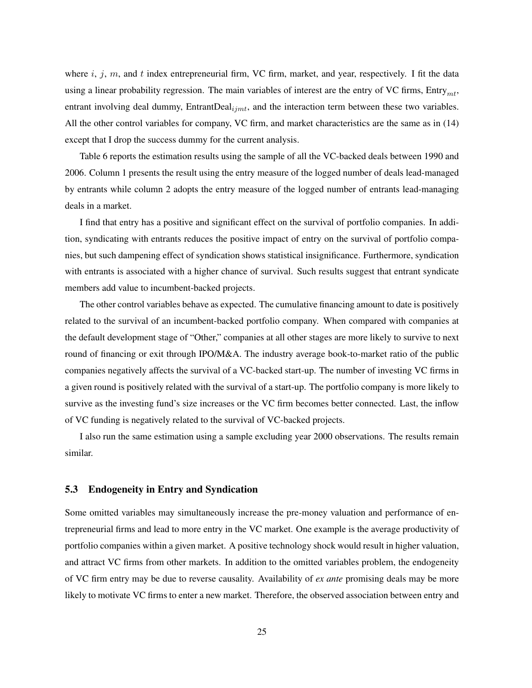where  $i, j, m$ , and  $t$  index entrepreneurial firm, VC firm, market, and year, respectively. I fit the data using a linear probability regression. The main variables of interest are the entry of VC firms,  $Entry_{mt}$ , entrant involving deal dummy,  $EntrandDeal_{ijmt}$ , and the interaction term between these two variables. All the other control variables for company, VC firm, and market characteristics are the same as in (14) except that I drop the success dummy for the current analysis.

Table 6 reports the estimation results using the sample of all the VC-backed deals between 1990 and 2006. Column 1 presents the result using the entry measure of the logged number of deals lead-managed by entrants while column 2 adopts the entry measure of the logged number of entrants lead-managing deals in a market.

I find that entry has a positive and significant effect on the survival of portfolio companies. In addition, syndicating with entrants reduces the positive impact of entry on the survival of portfolio companies, but such dampening effect of syndication shows statistical insignificance. Furthermore, syndication with entrants is associated with a higher chance of survival. Such results suggest that entrant syndicate members add value to incumbent-backed projects.

The other control variables behave as expected. The cumulative financing amount to date is positively related to the survival of an incumbent-backed portfolio company. When compared with companies at the default development stage of "Other," companies at all other stages are more likely to survive to next round of financing or exit through IPO/M&A. The industry average book-to-market ratio of the public companies negatively affects the survival of a VC-backed start-up. The number of investing VC firms in a given round is positively related with the survival of a start-up. The portfolio company is more likely to survive as the investing fund's size increases or the VC firm becomes better connected. Last, the inflow of VC funding is negatively related to the survival of VC-backed projects.

I also run the same estimation using a sample excluding year 2000 observations. The results remain similar.

## 5.3 Endogeneity in Entry and Syndication

Some omitted variables may simultaneously increase the pre-money valuation and performance of entrepreneurial firms and lead to more entry in the VC market. One example is the average productivity of portfolio companies within a given market. A positive technology shock would result in higher valuation, and attract VC firms from other markets. In addition to the omitted variables problem, the endogeneity of VC firm entry may be due to reverse causality. Availability of *ex ante* promising deals may be more likely to motivate VC firms to enter a new market. Therefore, the observed association between entry and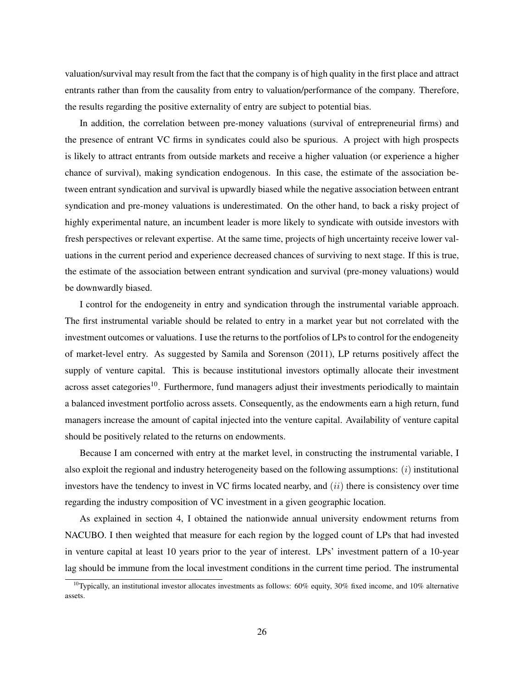valuation/survival may result from the fact that the company is of high quality in the first place and attract entrants rather than from the causality from entry to valuation/performance of the company. Therefore, the results regarding the positive externality of entry are subject to potential bias.

In addition, the correlation between pre-money valuations (survival of entrepreneurial firms) and the presence of entrant VC firms in syndicates could also be spurious. A project with high prospects is likely to attract entrants from outside markets and receive a higher valuation (or experience a higher chance of survival), making syndication endogenous. In this case, the estimate of the association between entrant syndication and survival is upwardly biased while the negative association between entrant syndication and pre-money valuations is underestimated. On the other hand, to back a risky project of highly experimental nature, an incumbent leader is more likely to syndicate with outside investors with fresh perspectives or relevant expertise. At the same time, projects of high uncertainty receive lower valuations in the current period and experience decreased chances of surviving to next stage. If this is true, the estimate of the association between entrant syndication and survival (pre-money valuations) would be downwardly biased.

I control for the endogeneity in entry and syndication through the instrumental variable approach. The first instrumental variable should be related to entry in a market year but not correlated with the investment outcomes or valuations. I use the returns to the portfolios of LPs to control for the endogeneity of market-level entry. As suggested by Samila and Sorenson (2011), LP returns positively affect the supply of venture capital. This is because institutional investors optimally allocate their investment across asset categories<sup>10</sup>. Furthermore, fund managers adjust their investments periodically to maintain a balanced investment portfolio across assets. Consequently, as the endowments earn a high return, fund managers increase the amount of capital injected into the venture capital. Availability of venture capital should be positively related to the returns on endowments.

Because I am concerned with entry at the market level, in constructing the instrumental variable, I also exploit the regional and industry heterogeneity based on the following assumptions: (i) institutional investors have the tendency to invest in VC firms located nearby, and  $(ii)$  there is consistency over time regarding the industry composition of VC investment in a given geographic location.

As explained in section 4, I obtained the nationwide annual university endowment returns from NACUBO. I then weighted that measure for each region by the logged count of LPs that had invested in venture capital at least 10 years prior to the year of interest. LPs' investment pattern of a 10-year lag should be immune from the local investment conditions in the current time period. The instrumental

<sup>&</sup>lt;sup>10</sup>Typically, an institutional investor allocates investments as follows:  $60\%$  equity,  $30\%$  fixed income, and  $10\%$  alternative assets.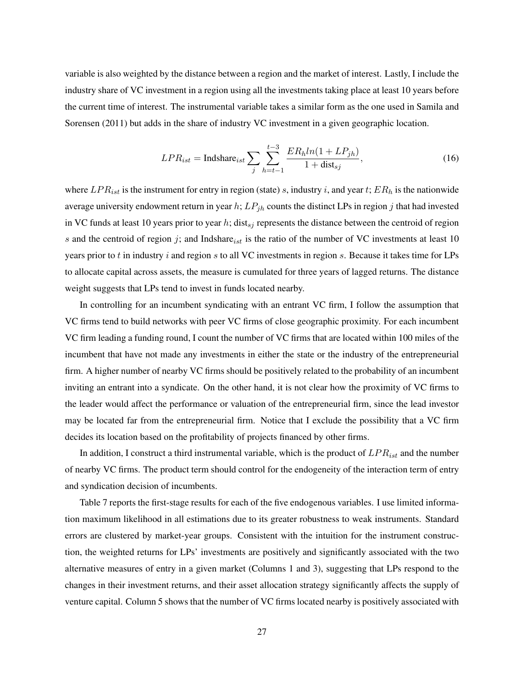variable is also weighted by the distance between a region and the market of interest. Lastly, I include the industry share of VC investment in a region using all the investments taking place at least 10 years before the current time of interest. The instrumental variable takes a similar form as the one used in Samila and Sorensen (2011) but adds in the share of industry VC investment in a given geographic location.

$$
LPR_{ist} = \text{Indshare}_{ist} \sum_{j} \sum_{h=t-1}^{t-3} \frac{ER_h ln(1 + LP_{jh})}{1 + \text{dist}_{sj}},
$$
\n(16)

where  $LPR_{ist}$  is the instrument for entry in region (state) s, industry i, and year t;  $ER_h$  is the nationwide average university endowment return in year h;  $LP_{ih}$  counts the distinct LPs in region j that had invested in VC funds at least 10 years prior to year h; dist<sub>sj</sub> represents the distance between the centroid of region s and the centroid of region j; and Indshare is the ratio of the number of VC investments at least 10 years prior to  $t$  in industry  $i$  and region  $s$  to all VC investments in region  $s$ . Because it takes time for LPs to allocate capital across assets, the measure is cumulated for three years of lagged returns. The distance weight suggests that LPs tend to invest in funds located nearby.

In controlling for an incumbent syndicating with an entrant VC firm, I follow the assumption that VC firms tend to build networks with peer VC firms of close geographic proximity. For each incumbent VC firm leading a funding round, I count the number of VC firms that are located within 100 miles of the incumbent that have not made any investments in either the state or the industry of the entrepreneurial firm. A higher number of nearby VC firms should be positively related to the probability of an incumbent inviting an entrant into a syndicate. On the other hand, it is not clear how the proximity of VC firms to the leader would affect the performance or valuation of the entrepreneurial firm, since the lead investor may be located far from the entrepreneurial firm. Notice that I exclude the possibility that a VC firm decides its location based on the profitability of projects financed by other firms.

In addition, I construct a third instrumental variable, which is the product of  $LPR_{ist}$  and the number of nearby VC firms. The product term should control for the endogeneity of the interaction term of entry and syndication decision of incumbents.

Table 7 reports the first-stage results for each of the five endogenous variables. I use limited information maximum likelihood in all estimations due to its greater robustness to weak instruments. Standard errors are clustered by market-year groups. Consistent with the intuition for the instrument construction, the weighted returns for LPs' investments are positively and significantly associated with the two alternative measures of entry in a given market (Columns 1 and 3), suggesting that LPs respond to the changes in their investment returns, and their asset allocation strategy significantly affects the supply of venture capital. Column 5 shows that the number of VC firms located nearby is positively associated with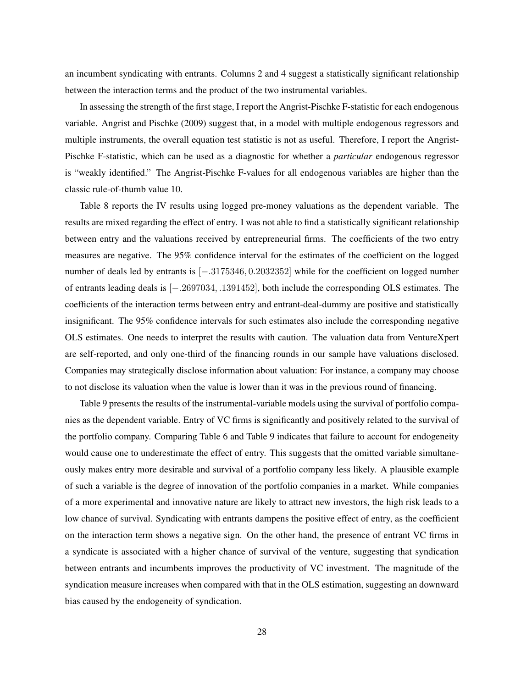an incumbent syndicating with entrants. Columns 2 and 4 suggest a statistically significant relationship between the interaction terms and the product of the two instrumental variables.

In assessing the strength of the first stage, I report the Angrist-Pischke F-statistic for each endogenous variable. Angrist and Pischke (2009) suggest that, in a model with multiple endogenous regressors and multiple instruments, the overall equation test statistic is not as useful. Therefore, I report the Angrist-Pischke F-statistic, which can be used as a diagnostic for whether a *particular* endogenous regressor is "weakly identified." The Angrist-Pischke F-values for all endogenous variables are higher than the classic rule-of-thumb value 10.

Table 8 reports the IV results using logged pre-money valuations as the dependent variable. The results are mixed regarding the effect of entry. I was not able to find a statistically significant relationship between entry and the valuations received by entrepreneurial firms. The coefficients of the two entry measures are negative. The 95% confidence interval for the estimates of the coefficient on the logged number of deals led by entrants is [−.3175346, 0.2032352] while for the coefficient on logged number of entrants leading deals is [−.2697034, .1391452], both include the corresponding OLS estimates. The coefficients of the interaction terms between entry and entrant-deal-dummy are positive and statistically insignificant. The 95% confidence intervals for such estimates also include the corresponding negative OLS estimates. One needs to interpret the results with caution. The valuation data from VentureXpert are self-reported, and only one-third of the financing rounds in our sample have valuations disclosed. Companies may strategically disclose information about valuation: For instance, a company may choose to not disclose its valuation when the value is lower than it was in the previous round of financing.

Table 9 presents the results of the instrumental-variable models using the survival of portfolio companies as the dependent variable. Entry of VC firms is significantly and positively related to the survival of the portfolio company. Comparing Table 6 and Table 9 indicates that failure to account for endogeneity would cause one to underestimate the effect of entry. This suggests that the omitted variable simultaneously makes entry more desirable and survival of a portfolio company less likely. A plausible example of such a variable is the degree of innovation of the portfolio companies in a market. While companies of a more experimental and innovative nature are likely to attract new investors, the high risk leads to a low chance of survival. Syndicating with entrants dampens the positive effect of entry, as the coefficient on the interaction term shows a negative sign. On the other hand, the presence of entrant VC firms in a syndicate is associated with a higher chance of survival of the venture, suggesting that syndication between entrants and incumbents improves the productivity of VC investment. The magnitude of the syndication measure increases when compared with that in the OLS estimation, suggesting an downward bias caused by the endogeneity of syndication.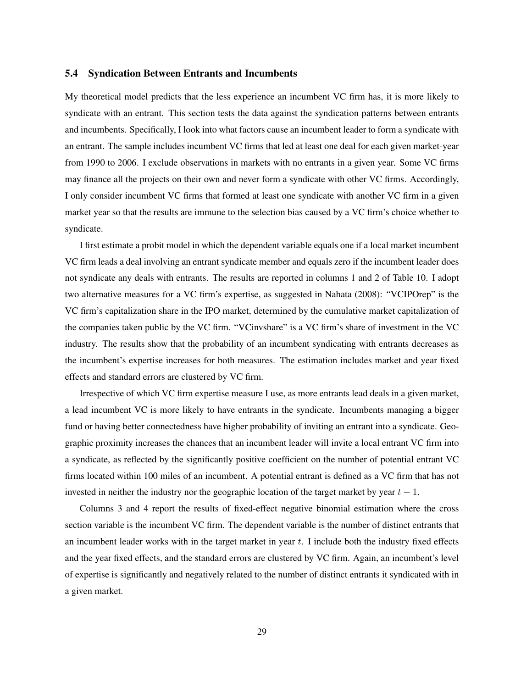#### 5.4 Syndication Between Entrants and Incumbents

My theoretical model predicts that the less experience an incumbent VC firm has, it is more likely to syndicate with an entrant. This section tests the data against the syndication patterns between entrants and incumbents. Specifically, I look into what factors cause an incumbent leader to form a syndicate with an entrant. The sample includes incumbent VC firms that led at least one deal for each given market-year from 1990 to 2006. I exclude observations in markets with no entrants in a given year. Some VC firms may finance all the projects on their own and never form a syndicate with other VC firms. Accordingly, I only consider incumbent VC firms that formed at least one syndicate with another VC firm in a given market year so that the results are immune to the selection bias caused by a VC firm's choice whether to syndicate.

I first estimate a probit model in which the dependent variable equals one if a local market incumbent VC firm leads a deal involving an entrant syndicate member and equals zero if the incumbent leader does not syndicate any deals with entrants. The results are reported in columns 1 and 2 of Table 10. I adopt two alternative measures for a VC firm's expertise, as suggested in Nahata (2008): "VCIPOrep" is the VC firm's capitalization share in the IPO market, determined by the cumulative market capitalization of the companies taken public by the VC firm. "VCinvshare" is a VC firm's share of investment in the VC industry. The results show that the probability of an incumbent syndicating with entrants decreases as the incumbent's expertise increases for both measures. The estimation includes market and year fixed effects and standard errors are clustered by VC firm.

Irrespective of which VC firm expertise measure I use, as more entrants lead deals in a given market, a lead incumbent VC is more likely to have entrants in the syndicate. Incumbents managing a bigger fund or having better connectedness have higher probability of inviting an entrant into a syndicate. Geographic proximity increases the chances that an incumbent leader will invite a local entrant VC firm into a syndicate, as reflected by the significantly positive coefficient on the number of potential entrant VC firms located within 100 miles of an incumbent. A potential entrant is defined as a VC firm that has not invested in neither the industry nor the geographic location of the target market by year  $t - 1$ .

Columns 3 and 4 report the results of fixed-effect negative binomial estimation where the cross section variable is the incumbent VC firm. The dependent variable is the number of distinct entrants that an incumbent leader works with in the target market in year  $t$ . I include both the industry fixed effects and the year fixed effects, and the standard errors are clustered by VC firm. Again, an incumbent's level of expertise is significantly and negatively related to the number of distinct entrants it syndicated with in a given market.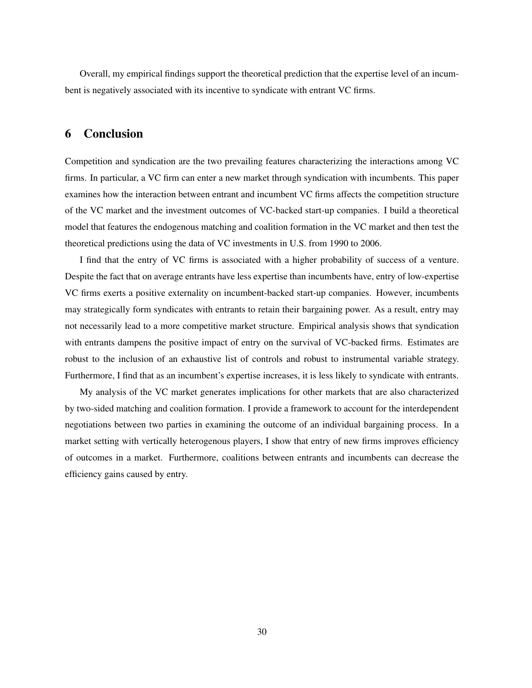Overall, my empirical findings support the theoretical prediction that the expertise level of an incumbent is negatively associated with its incentive to syndicate with entrant VC firms.

## 6 Conclusion

Competition and syndication are the two prevailing features characterizing the interactions among VC firms. In particular, a VC firm can enter a new market through syndication with incumbents. This paper examines how the interaction between entrant and incumbent VC firms affects the competition structure of the VC market and the investment outcomes of VC-backed start-up companies. I build a theoretical model that features the endogenous matching and coalition formation in the VC market and then test the theoretical predictions using the data of VC investments in U.S. from 1990 to 2006.

I find that the entry of VC firms is associated with a higher probability of success of a venture. Despite the fact that on average entrants have less expertise than incumbents have, entry of low-expertise VC firms exerts a positive externality on incumbent-backed start-up companies. However, incumbents may strategically form syndicates with entrants to retain their bargaining power. As a result, entry may not necessarily lead to a more competitive market structure. Empirical analysis shows that syndication with entrants dampens the positive impact of entry on the survival of VC-backed firms. Estimates are robust to the inclusion of an exhaustive list of controls and robust to instrumental variable strategy. Furthermore, I find that as an incumbent's expertise increases, it is less likely to syndicate with entrants.

My analysis of the VC market generates implications for other markets that are also characterized by two-sided matching and coalition formation. I provide a framework to account for the interdependent negotiations between two parties in examining the outcome of an individual bargaining process. In a market setting with vertically heterogenous players, I show that entry of new firms improves efficiency of outcomes in a market. Furthermore, coalitions between entrants and incumbents can decrease the efficiency gains caused by entry.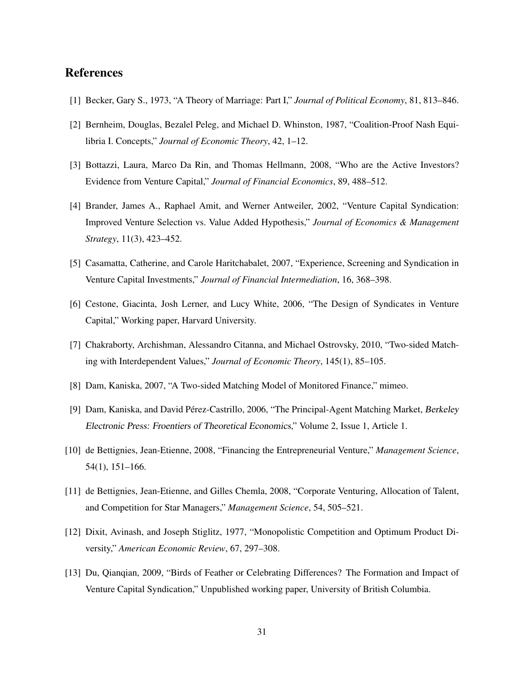## References

- [1] Becker, Gary S., 1973, "A Theory of Marriage: Part I," *Journal of Political Economy*, 81, 813–846.
- [2] Bernheim, Douglas, Bezalel Peleg, and Michael D. Whinston, 1987, "Coalition-Proof Nash Equilibria I. Concepts," *Journal of Economic Theory*, 42, 1–12.
- [3] Bottazzi, Laura, Marco Da Rin, and Thomas Hellmann, 2008, "Who are the Active Investors? Evidence from Venture Capital," *Journal of Financial Economics*, 89, 488–512.
- [4] Brander, James A., Raphael Amit, and Werner Antweiler, 2002, "Venture Capital Syndication: Improved Venture Selection vs. Value Added Hypothesis," *Journal of Economics & Management Strategy*, 11(3), 423–452.
- [5] Casamatta, Catherine, and Carole Haritchabalet, 2007, "Experience, Screening and Syndication in Venture Capital Investments," *Journal of Financial Intermediation*, 16, 368–398.
- [6] Cestone, Giacinta, Josh Lerner, and Lucy White, 2006, "The Design of Syndicates in Venture Capital," Working paper, Harvard University.
- [7] Chakraborty, Archishman, Alessandro Citanna, and Michael Ostrovsky, 2010, "Two-sided Matching with Interdependent Values," *Journal of Economic Theory*, 145(1), 85–105.
- [8] Dam, Kaniska, 2007, "A Two-sided Matching Model of Monitored Finance," mimeo.
- [9] Dam, Kaniska, and David Pérez-Castrillo, 2006, "The Principal-Agent Matching Market, Berkeley Electronic Press: Froentiers of Theoretical Economics," Volume 2, Issue 1, Article 1.
- [10] de Bettignies, Jean-Etienne, 2008, "Financing the Entrepreneurial Venture," *Management Science*, 54(1), 151–166.
- [11] de Bettignies, Jean-Etienne, and Gilles Chemla, 2008, "Corporate Venturing, Allocation of Talent, and Competition for Star Managers," *Management Science*, 54, 505–521.
- [12] Dixit, Avinash, and Joseph Stiglitz, 1977, "Monopolistic Competition and Optimum Product Diversity," *American Economic Review*, 67, 297–308.
- [13] Du, Qianqian, 2009, "Birds of Feather or Celebrating Differences? The Formation and Impact of Venture Capital Syndication," Unpublished working paper, University of British Columbia.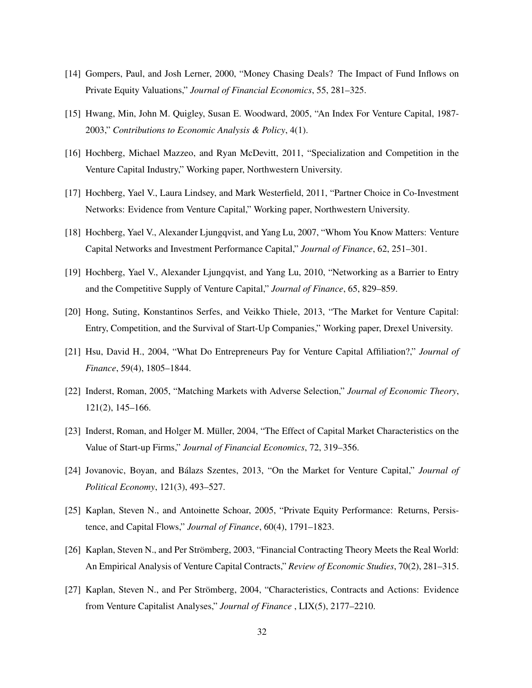- [14] Gompers, Paul, and Josh Lerner, 2000, "Money Chasing Deals? The Impact of Fund Inflows on Private Equity Valuations," *Journal of Financial Economics*, 55, 281–325.
- [15] Hwang, Min, John M. Quigley, Susan E. Woodward, 2005, "An Index For Venture Capital, 1987- 2003," *Contributions to Economic Analysis & Policy*, 4(1).
- [16] Hochberg, Michael Mazzeo, and Ryan McDevitt, 2011, "Specialization and Competition in the Venture Capital Industry," Working paper, Northwestern University.
- [17] Hochberg, Yael V., Laura Lindsey, and Mark Westerfield, 2011, "Partner Choice in Co-Investment Networks: Evidence from Venture Capital," Working paper, Northwestern University.
- [18] Hochberg, Yael V., Alexander Ljungqvist, and Yang Lu, 2007, "Whom You Know Matters: Venture Capital Networks and Investment Performance Capital," *Journal of Finance*, 62, 251–301.
- [19] Hochberg, Yael V., Alexander Ljungqvist, and Yang Lu, 2010, "Networking as a Barrier to Entry and the Competitive Supply of Venture Capital," *Journal of Finance*, 65, 829–859.
- [20] Hong, Suting, Konstantinos Serfes, and Veikko Thiele, 2013, "The Market for Venture Capital: Entry, Competition, and the Survival of Start-Up Companies," Working paper, Drexel University.
- [21] Hsu, David H., 2004, "What Do Entrepreneurs Pay for Venture Capital Affiliation?," *Journal of Finance*, 59(4), 1805–1844.
- [22] Inderst, Roman, 2005, "Matching Markets with Adverse Selection," *Journal of Economic Theory*, 121(2), 145–166.
- [23] Inderst, Roman, and Holger M. Müller, 2004, "The Effect of Capital Market Characteristics on the Value of Start-up Firms," *Journal of Financial Economics*, 72, 319–356.
- [24] Jovanovic, Boyan, and Bálazs Szentes, 2013, "On the Market for Venture Capital," *Journal of Political Economy*, 121(3), 493–527.
- [25] Kaplan, Steven N., and Antoinette Schoar, 2005, "Private Equity Performance: Returns, Persistence, and Capital Flows," *Journal of Finance*, 60(4), 1791–1823.
- [26] Kaplan, Steven N., and Per Strömberg, 2003, "Financial Contracting Theory Meets the Real World: An Empirical Analysis of Venture Capital Contracts," *Review of Economic Studies*, 70(2), 281–315.
- [27] Kaplan, Steven N., and Per Strömberg, 2004, "Characteristics, Contracts and Actions: Evidence from Venture Capitalist Analyses," *Journal of Finance* , LIX(5), 2177–2210.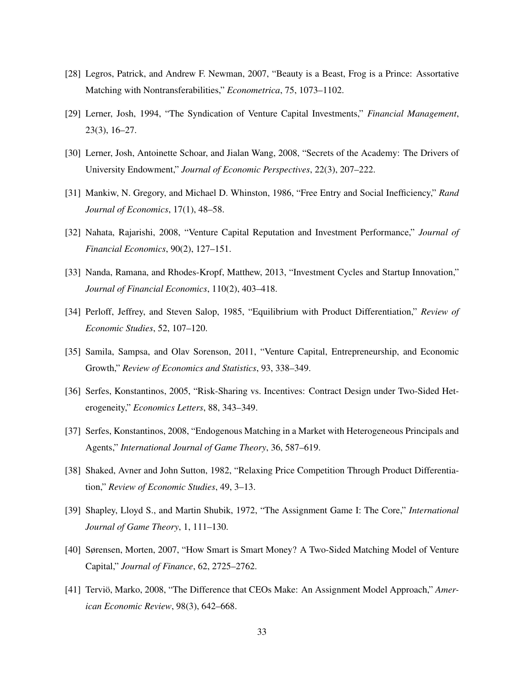- [28] Legros, Patrick, and Andrew F. Newman, 2007, "Beauty is a Beast, Frog is a Prince: Assortative Matching with Nontransferabilities," *Econometrica*, 75, 1073–1102.
- [29] Lerner, Josh, 1994, "The Syndication of Venture Capital Investments," *Financial Management*, 23(3), 16–27.
- [30] Lerner, Josh, Antoinette Schoar, and Jialan Wang, 2008, "Secrets of the Academy: The Drivers of University Endowment," *Journal of Economic Perspectives*, 22(3), 207–222.
- [31] Mankiw, N. Gregory, and Michael D. Whinston, 1986, "Free Entry and Social Inefficiency," *Rand Journal of Economics*, 17(1), 48–58.
- [32] Nahata, Rajarishi, 2008, "Venture Capital Reputation and Investment Performance," *Journal of Financial Economics*, 90(2), 127–151.
- [33] Nanda, Ramana, and Rhodes-Kropf, Matthew, 2013, "Investment Cycles and Startup Innovation," *Journal of Financial Economics*, 110(2), 403–418.
- [34] Perloff, Jeffrey, and Steven Salop, 1985, "Equilibrium with Product Differentiation," *Review of Economic Studies*, 52, 107–120.
- [35] Samila, Sampsa, and Olav Sorenson, 2011, "Venture Capital, Entrepreneurship, and Economic Growth," *Review of Economics and Statistics*, 93, 338–349.
- [36] Serfes, Konstantinos, 2005, "Risk-Sharing vs. Incentives: Contract Design under Two-Sided Heterogeneity," *Economics Letters*, 88, 343–349.
- [37] Serfes, Konstantinos, 2008, "Endogenous Matching in a Market with Heterogeneous Principals and Agents," *International Journal of Game Theory*, 36, 587–619.
- [38] Shaked, Avner and John Sutton, 1982, "Relaxing Price Competition Through Product Differentiation," *Review of Economic Studies*, 49, 3–13.
- [39] Shapley, Lloyd S., and Martin Shubik, 1972, "The Assignment Game I: The Core," *International Journal of Game Theory*, 1, 111–130.
- [40] Sørensen, Morten, 2007, "How Smart is Smart Money? A Two-Sided Matching Model of Venture Capital," *Journal of Finance*, 62, 2725–2762.
- [41] Terviö, Marko, 2008, "The Difference that CEOs Make: An Assignment Model Approach," *American Economic Review*, 98(3), 642–668.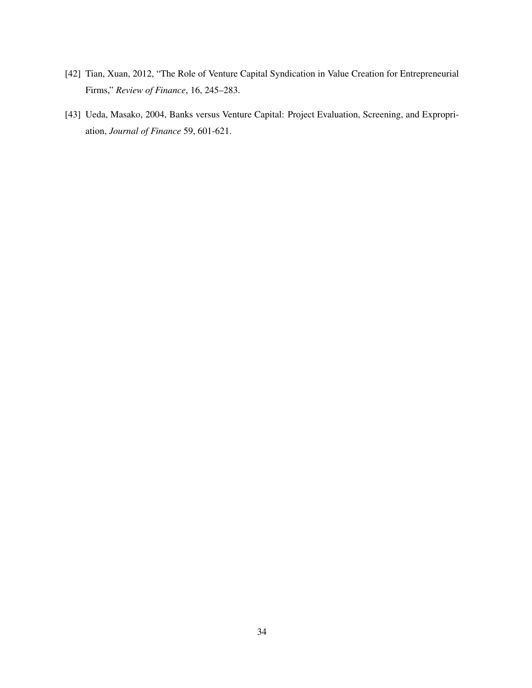- [42] Tian, Xuan, 2012, "The Role of Venture Capital Syndication in Value Creation for Entrepreneurial Firms," *Review of Finance*, 16, 245–283.
- [43] Ueda, Masako, 2004, Banks versus Venture Capital: Project Evaluation, Screening, and Expropriation, *Journal of Finance* 59, 601-621.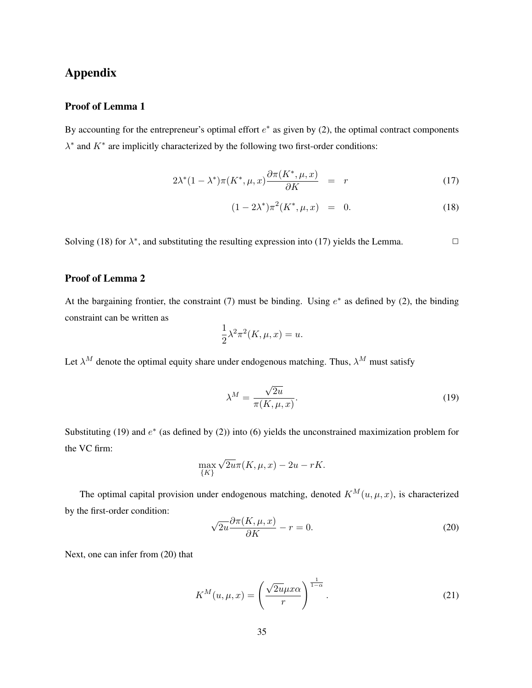## Appendix

## Proof of Lemma 1

By accounting for the entrepreneur's optimal effort  $e^*$  as given by (2), the optimal contract components  $\lambda^*$  and  $K^*$  are implicitly characterized by the following two first-order conditions:

$$
2\lambda^*(1-\lambda^*)\pi(K^*,\mu,x)\frac{\partial\pi(K^*,\mu,x)}{\partial K} = r \tag{17}
$$

$$
(1 - 2\lambda^*)\pi^2(K^*, \mu, x) = 0.
$$
 (18)

Solving (18) for  $\lambda^*$ , and substituting the resulting expression into (17) yields the Lemma.

## Proof of Lemma 2

At the bargaining frontier, the constraint (7) must be binding. Using  $e^*$  as defined by (2), the binding constraint can be written as

$$
\frac{1}{2}\lambda^2 \pi^2(K, \mu, x) = u.
$$

Let  $\lambda^M$  denote the optimal equity share under endogenous matching. Thus,  $\lambda^M$  must satisfy

$$
\lambda^M = \frac{\sqrt{2u}}{\pi(K, \mu, x)}.\tag{19}
$$

Substituting (19) and  $e^*$  (as defined by (2)) into (6) yields the unconstrained maximization problem for the VC firm:

$$
\max_{\{K\}} \sqrt{2u}\pi(K,\mu,x) - 2u - rK.
$$

The optimal capital provision under endogenous matching, denoted  $K^M(u, \mu, x)$ , is characterized by the first-order condition:

$$
\sqrt{2u}\frac{\partial\pi(K,\mu,x)}{\partial K} - r = 0.
$$
\n(20)

Next, one can infer from (20) that

$$
K^{M}(u,\mu,x) = \left(\frac{\sqrt{2u}\mu x \alpha}{r}\right)^{\frac{1}{1-\alpha}}.
$$
\n(21)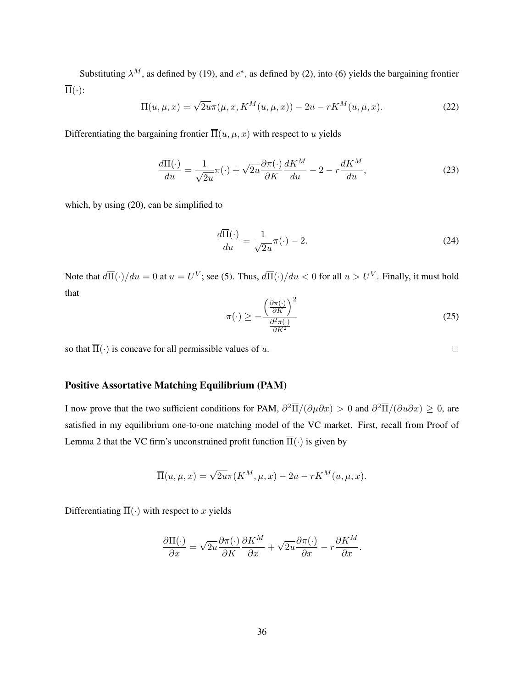Substituting  $\lambda^M$ , as defined by (19), and  $e^*$ , as defined by (2), into (6) yields the bargaining frontier  $\overline{\Pi}(\cdot)$ :

$$
\overline{\Pi}(u,\mu,x) = \sqrt{2u}\pi(\mu,x,K^M(u,\mu,x)) - 2u - rK^M(u,\mu,x). \tag{22}
$$

Differentiating the bargaining frontier  $\overline{\Pi}(u, \mu, x)$  with respect to u yields

$$
\frac{d\overline{\Pi}(\cdot)}{du} = \frac{1}{\sqrt{2u}}\pi(\cdot) + \sqrt{2u}\frac{\partial\pi(\cdot)}{\partial K}\frac{dK^M}{du} - 2 - r\frac{dK^M}{du},\tag{23}
$$

which, by using (20), can be simplified to

$$
\frac{d\overline{\Pi}(\cdot)}{du} = \frac{1}{\sqrt{2u}}\pi(\cdot) - 2.
$$
\n(24)

Note that  $d\overline{\Pi}(\cdot)/du = 0$  at  $u = U^V$ ; see (5). Thus,  $d\overline{\Pi}(\cdot)/du < 0$  for all  $u > U^V$ . Finally, it must hold that

$$
\pi(\cdot) \ge -\frac{\left(\frac{\partial \pi(\cdot)}{\partial K}\right)^2}{\frac{\partial^2 \pi(\cdot)}{\partial K^2}}
$$
\n(25)

so that  $\overline{\Pi}(\cdot)$  is concave for all permissible values of u.

## Positive Assortative Matching Equilibrium (PAM)

I now prove that the two sufficient conditions for PAM,  $\partial^2 \overline{\Pi}/(\partial \mu \partial x) > 0$  and  $\partial^2 \overline{\Pi}/(\partial u \partial x) \ge 0$ , are satisfied in my equilibrium one-to-one matching model of the VC market. First, recall from Proof of Lemma 2 that the VC firm's unconstrained profit function  $\overline{\Pi}(\cdot)$  is given by

$$
\overline{\Pi}(u,\mu,x) = \sqrt{2u}\pi(K^M,\mu,x) - 2u - rK^M(u,\mu,x).
$$

Differentiating  $\overline{\Pi}(\cdot)$  with respect to x yields

$$
\frac{\partial \overline{\Pi}(\cdot)}{\partial x} = \sqrt{2u} \frac{\partial \pi(\cdot)}{\partial K} \frac{\partial K^M}{\partial x} + \sqrt{2u} \frac{\partial \pi(\cdot)}{\partial x} - r \frac{\partial K^M}{\partial x}.
$$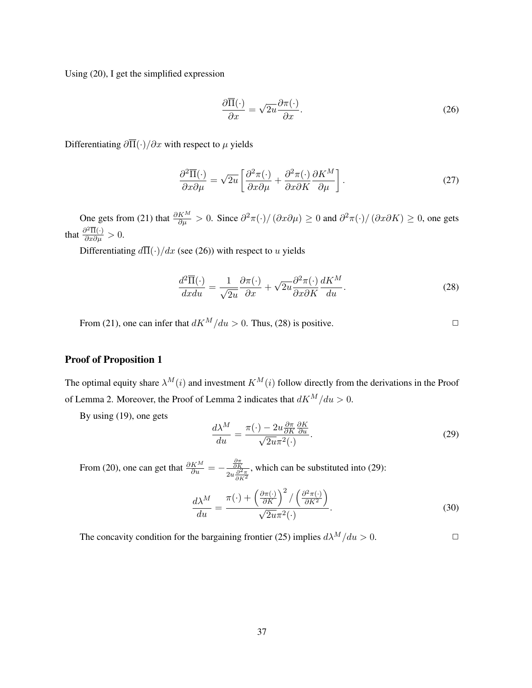Using (20), I get the simplified expression

$$
\frac{\partial \overline{\Pi}(\cdot)}{\partial x} = \sqrt{2u} \frac{\partial \pi(\cdot)}{\partial x}.
$$
\n(26)

Differentiating  $\partial \overline{\Pi}(\cdot)/\partial x$  with respect to  $\mu$  yields

$$
\frac{\partial^2 \overline{\Pi}(\cdot)}{\partial x \partial \mu} = \sqrt{2u} \left[ \frac{\partial^2 \pi(\cdot)}{\partial x \partial \mu} + \frac{\partial^2 \pi(\cdot)}{\partial x \partial K} \frac{\partial K^M}{\partial \mu} \right].
$$
\n(27)

One gets from (21) that  $\frac{\partial K^M}{\partial \mu} > 0$ . Since  $\frac{\partial^2 \pi}{\partial \mu}$   $\geq 0$  and  $\frac{\partial^2 \pi}{\partial \mu}$   $\geq 0$ , one gets that  $\frac{\partial^2 \overline{\Pi}(\cdot)}{\partial x \partial \mu} > 0$ .

Differentiating  $d\overline{\Pi}(\cdot)/dx$  (see (26)) with respect to u yields

$$
\frac{d^2\overline{\Pi}(\cdot)}{dxdu} = \frac{1}{\sqrt{2u}}\frac{\partial\pi(\cdot)}{\partial x} + \sqrt{2u}\frac{\partial^2\pi(\cdot)}{\partial x\partial K}\frac{dK^M}{du}.\tag{28}
$$

From (21), one can infer that  $dK^M/du > 0$ . Thus, (28) is positive.

## Proof of Proposition 1

The optimal equity share  $\lambda^M(i)$  and investment  $K^M(i)$  follow directly from the derivations in the Proof of Lemma 2. Moreover, the Proof of Lemma 2 indicates that  $dK^M/du > 0$ .

By using (19), one gets

$$
\frac{d\lambda^M}{du} = \frac{\pi(\cdot) - 2u \frac{\partial \pi}{\partial K} \frac{\partial K}{\partial u}}{\sqrt{2u} \pi^2(\cdot)}.
$$
\n(29)

From (20), one can get that  $\frac{\partial K^M}{\partial u} = -\frac{\frac{\partial \pi}{\partial K}}{2u}$  $\overline{2u\frac{\partial^2 \pi}{\partial K^2}}$ , which can be substituted into (29):

$$
\frac{d\lambda^M}{du} = \frac{\pi(\cdot) + \left(\frac{\partial \pi(\cdot)}{\partial K}\right)^2 / \left(\frac{\partial^2 \pi(\cdot)}{\partial K^2}\right)}{\sqrt{2u\pi^2(\cdot)}}.
$$
\n(30)

The concavity condition for the bargaining frontier (25) implies  $d\lambda^M/du > 0$ .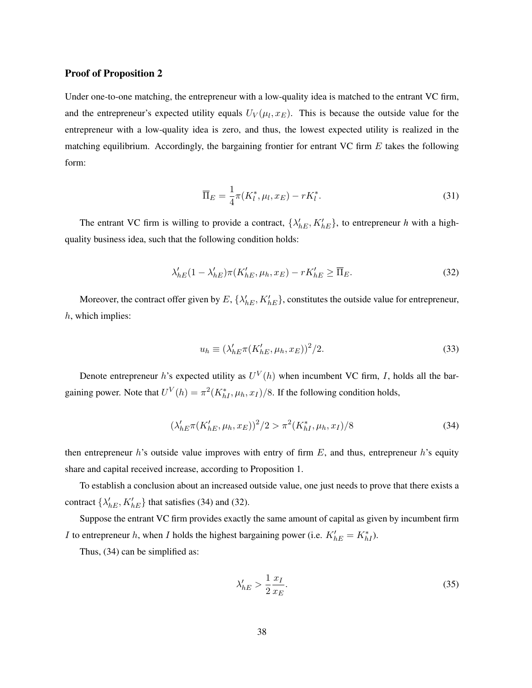### Proof of Proposition 2

Under one-to-one matching, the entrepreneur with a low-quality idea is matched to the entrant VC firm, and the entrepreneur's expected utility equals  $U_V(\mu_l, x_E)$ . This is because the outside value for the entrepreneur with a low-quality idea is zero, and thus, the lowest expected utility is realized in the matching equilibrium. Accordingly, the bargaining frontier for entrant VC firm  $E$  takes the following form:

$$
\overline{\Pi}_E = \frac{1}{4}\pi(K_l^*, \mu_l, x_E) - rK_l^*.
$$
\n(31)

The entrant VC firm is willing to provide a contract,  $\{\lambda'_{hE}, K'_{hE}\}$ , to entrepreneur *h* with a highquality business idea, such that the following condition holds:

$$
\lambda_{hE}'(1 - \lambda_{hE}')\pi(K_{hE}', \mu_h, x_E) - rK_{hE}' \ge \overline{\Pi}_E.
$$
\n(32)

Moreover, the contract offer given by  $E$ ,  $\{\lambda'_{hE}, K'_{hE}\}$ , constitutes the outside value for entrepreneur, h, which implies:

$$
u_h \equiv (\lambda_{hE}' \pi(K_{hE}', \mu_h, x_E))^2/2. \tag{33}
$$

Denote entrepreneur h's expected utility as  $U^V(h)$  when incumbent VC firm, I, holds all the bargaining power. Note that  $U^V(h) = \pi^2(K_{hI}^*, \mu_h, x_I)/8$ . If the following condition holds,

$$
(\lambda_{hE}' \pi(K_{hE}', \mu_h, x_E))^2/2 > \pi^2(K_{hI}^*, \mu_h, x_I)/8
$$
\n(34)

then entrepreneur h's outside value improves with entry of firm  $E$ , and thus, entrepreneur h's equity share and capital received increase, according to Proposition 1.

To establish a conclusion about an increased outside value, one just needs to prove that there exists a contract  $\{\lambda'_{hE}, K'_{hE}\}\$  that satisfies (34) and (32).

Suppose the entrant VC firm provides exactly the same amount of capital as given by incumbent firm *I* to entrepreneur *h*, when *I* holds the highest bargaining power (i.e.  $K'_{hE} = K^*_{hI}$ ).

Thus, (34) can be simplified as:

$$
\lambda_{hE}^{\prime} > \frac{1}{2} \frac{x_I}{x_E}.\tag{35}
$$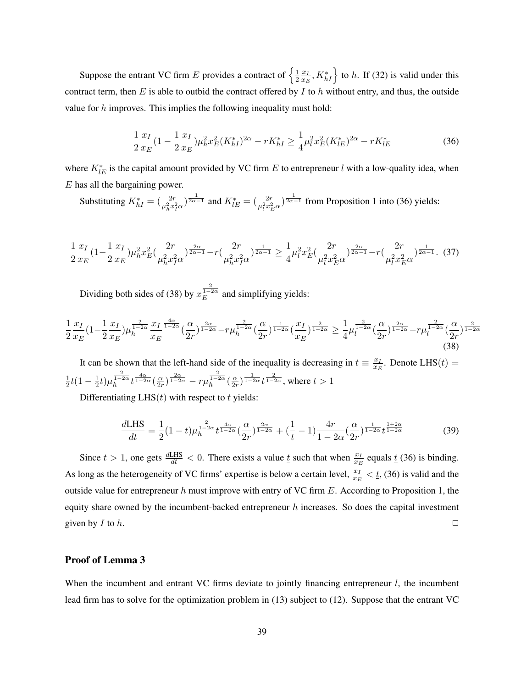Suppose the entrant VC firm E provides a contract of  $\left\{\frac{1}{2},\frac{1}{2},\frac{1}{2}\right\}$  $rac{1}{2} \frac{x_I}{x_E}$  $\left\{\frac{x_L}{x_E}, K_{hI}^*\right\}$  to h. If (32) is valid under this contract term, then  $E$  is able to outbid the contract offered by  $I$  to  $h$  without entry, and thus, the outside value for h improves. This implies the following inequality must hold:

$$
\frac{1}{2}\frac{x_I}{x_E}(1-\frac{1}{2}\frac{x_I}{x_E})\mu_h^2 x_E^2 (K_{hI}^*)^{2\alpha} - rK_{hI}^* \ge \frac{1}{4}\mu_l^2 x_E^2 (K_{lE}^*)^{2\alpha} - rK_{lE}^*
$$
\n(36)

where  $K_{lE}^*$  is the capital amount provided by VC firm E to entrepreneur l with a low-quality idea, when  $E$  has all the bargaining power.

Substituting  $K_{hI}^* = \left(\frac{2r}{\mu_h^2 x_I^2 \alpha}\right)^{\frac{1}{2\alpha - 1}}$  and  $K_{lE}^* = \left(\frac{2r}{\mu_l^2 x_E^2 \alpha}\right)^{\frac{1}{2\alpha - 1}}$  from Proposition 1 into (36) yields:

$$
\frac{1}{2}\frac{x_I}{x_E}(1-\frac{1}{2}\frac{x_I}{x_E})\mu_h^2 x_E^2 \left(\frac{2r}{\mu_h^2 x_I^2 \alpha}\right)^{\frac{2\alpha}{2\alpha-1}} - r\left(\frac{2r}{\mu_h^2 x_I^2 \alpha}\right)^{\frac{1}{2\alpha-1}} \ge \frac{1}{4}\mu_l^2 x_E^2 \left(\frac{2r}{\mu_l^2 x_E^2 \alpha}\right)^{\frac{2\alpha}{2\alpha-1}} - r\left(\frac{2r}{\mu_l^2 x_E^2 \alpha}\right)^{\frac{1}{2\alpha-1}}. \tag{37}
$$

Dividing both sides of (38) by  $x_E^{\frac{2}{1-2\alpha}}$  and simplifying yields:

$$
\frac{1}{2}\frac{x_I}{x_E}(1-\frac{1}{2}\frac{x_I}{x_E})\mu_h^{\frac{2}{1-2\alpha}}\frac{x_I}{x_E}\frac{\frac{4\alpha}{1-2\alpha}}{(2r)^{1-2\alpha}}(\frac{\alpha}{2r})^{\frac{2\alpha}{1-2\alpha}}(\frac{\alpha}{2r})^{\frac{1}{1-2\alpha}}(\frac{x_I}{x_E})^{\frac{2}{1-2\alpha}} \geq \frac{1}{4}\mu_l^{\frac{2}{1-2\alpha}}(\frac{\alpha}{2r})^{\frac{2\alpha}{1-2\alpha}}-\mu_l^{\frac{2}{1-2\alpha}}(\frac{\alpha}{2r})^{\frac{2}{1-2\alpha}}(38)
$$
\n
$$
(38)
$$

It can be shown that the left-hand side of the inequality is decreasing in  $t = \frac{x_I}{x_B}$  $\frac{x_I}{x_E}$ . Denote LHS $(t)$  = 1  $\frac{1}{2}t(1-\frac{1}{2})$  $\frac{1}{2}t)\mu_h^{\frac{2}{1-2\alpha}}t^{\frac{4\alpha}{1-2\alpha}}(\frac{\alpha}{2n}% +\frac{\alpha}{2\alpha}t)^{-\frac{2\alpha}{2\alpha}}t^{\frac{2\alpha}{1-2\alpha}}+\frac{\alpha}{2\alpha}t^{\frac{2\alpha}{1-2\alpha}}+\frac{\alpha}{2\alpha}t^{\frac{2\alpha}{1-2\alpha}}t^{\frac{2\alpha}{1-2\alpha}}t^{\frac{2\alpha}{1-2\alpha}}t^{\frac{2\alpha}{1-2\alpha}}$  $\frac{\alpha}{2r})^{\frac{2\alpha}{1-2\alpha}}-r\mu h^{\frac{2}{1-2\alpha}}(\frac{\alpha}{2r})$  $\frac{\alpha}{2r})^{\frac{1}{1-2\alpha}}t^{\frac{2}{1-2\alpha}}$ , where  $t>1$ 

Differentiating LHS $(t)$  with respect to t yields:

$$
\frac{dLHS}{dt} = \frac{1}{2}(1-t)\mu_h^{\frac{2}{1-2\alpha}}t^{\frac{4\alpha}{1-2\alpha}}(\frac{\alpha}{2r})^{\frac{2\alpha}{1-2\alpha}} + (\frac{1}{t}-1)\frac{4r}{1-2\alpha}(\frac{\alpha}{2r})^{\frac{1}{1-2\alpha}}t^{\frac{1+2\alpha}{1-2\alpha}} \tag{39}
$$

Since  $t > 1$ , one gets  $\frac{dLHS}{dt} < 0$ . There exists a value  $\underline{t}$  such that when  $\frac{x_L}{x_E}$  equals  $\underline{t}$  (36) is binding. As long as the heterogeneity of VC firms' expertise is below a certain level,  $\frac{x_L}{x_E} < \underline{t}$ , (36) is valid and the outside value for entrepreneur  $h$  must improve with entry of VC firm  $E$ . According to Proposition 1, the equity share owned by the incumbent-backed entrepreneur  $h$  increases. So does the capital investment given by I to h.  $\Box$ 

## Proof of Lemma 3

When the incumbent and entrant VC firms deviate to jointly financing entrepreneur  $l$ , the incumbent lead firm has to solve for the optimization problem in (13) subject to (12). Suppose that the entrant VC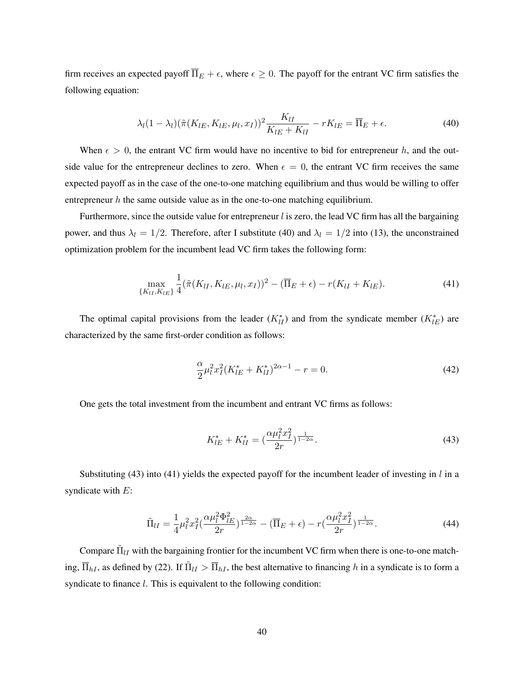firm receives an expected payoff  $\overline{\Pi}_E + \epsilon$ , where  $\epsilon \geq 0$ . The payoff for the entrant VC firm satisfies the following equation:

$$
\lambda_l (1 - \lambda_l) (\tilde{\pi}(K_{lE}, K_{lE}, \mu_l, x_I))^2 \frac{K_{lI}}{K_{lE} + K_{lI}} - rK_{lE} = \overline{\Pi}_E + \epsilon.
$$
 (40)

When  $\epsilon > 0$ , the entrant VC firm would have no incentive to bid for entrepreneur h, and the outside value for the entrepreneur declines to zero. When  $\epsilon = 0$ , the entrant VC firm receives the same expected payoff as in the case of the one-to-one matching equilibrium and thus would be willing to offer entrepreneur  $h$  the same outside value as in the one-to-one matching equilibrium.

Furthermore, since the outside value for entrepreneur  $l$  is zero, the lead VC firm has all the bargaining power, and thus  $\lambda_l = 1/2$ . Therefore, after I substitute (40) and  $\lambda_l = 1/2$  into (13), the unconstrained optimization problem for the incumbent lead VC firm takes the following form:

$$
\max_{\{K_{lI}, K_{lE}\}} \frac{1}{4} (\tilde{\pi}(K_{lI}, K_{lE}, \mu_l, x_I))^2 - (\overline{\Pi}_E + \epsilon) - r(K_{lI} + K_{lE}). \tag{41}
$$

The optimal capital provisions from the leader  $(K_{II}^*)$  and from the syndicate member  $(K_{IE}^*)$  are characterized by the same first-order condition as follows:

$$
\frac{\alpha}{2}\mu_l^2 x_I^2 (K_{lE}^* + K_{lI}^*)^{2\alpha - 1} - r = 0.
$$
\n(42)

One gets the total investment from the incumbent and entrant VC firms as follows:

$$
K_{lE}^* + K_{lI}^* = \left(\frac{\alpha \mu_l^2 x_I^2}{2r}\right)^{\frac{1}{1-2\alpha}}.
$$
\n(43)

Substituting (43) into (41) yields the expected payoff for the incumbent leader of investing in  $l$  in a syndicate with  $E$ :

$$
\tilde{\Pi}_{II} = \frac{1}{4} \mu_l^2 x_I^2 \left( \frac{\alpha \mu_l^2 \Phi_{lE}^2}{2r} \right)^{\frac{2\alpha}{1-2\alpha}} - \left( \overline{\Pi}_E + \epsilon \right) - r \left( \frac{\alpha \mu_l^2 x_I^2}{2r} \right)^{\frac{1}{1-2\alpha}}.
$$
\n(44)

Compare  $\tilde{\Pi}_{lI}$  with the bargaining frontier for the incumbent VC firm when there is one-to-one matching,  $\overline{\Pi}_{hI}$ , as defined by (22). If  $\tilde{\Pi}_{lI} > \overline{\Pi}_{hI}$ , the best alternative to financing h in a syndicate is to form a syndicate to finance *l*. This is equivalent to the following condition: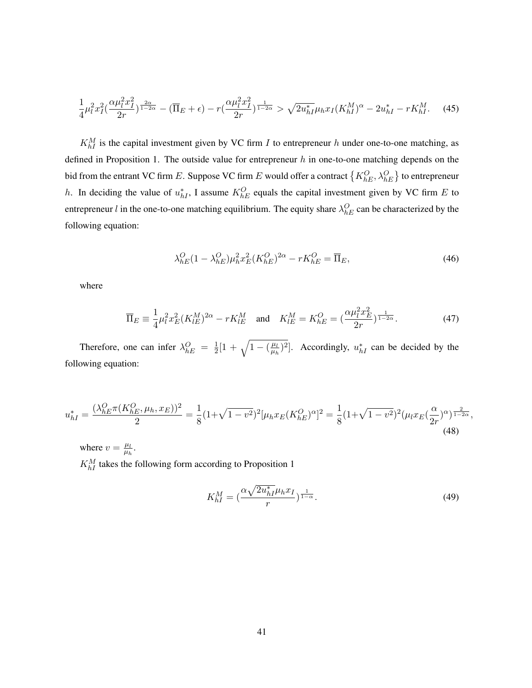$$
\frac{1}{4}\mu_l^2 x_I^2 \left(\frac{\alpha \mu_l^2 x_I^2}{2r}\right)^{\frac{2\alpha}{1-2\alpha}} - \left(\overline{\Pi}_E + \epsilon\right) - r \left(\frac{\alpha \mu_l^2 x_I^2}{2r}\right)^{\frac{1}{1-2\alpha}} > \sqrt{2u_{hI}^*} \mu_h x_I (K_{hI}^M)^\alpha - 2u_{hI}^* - rK_{hI}^M. \tag{45}
$$

 $K_{hI}^M$  is the capital investment given by VC firm I to entrepreneur h under one-to-one matching, as defined in Proposition 1. The outside value for entrepreneur  $h$  in one-to-one matching depends on the bid from the entrant VC firm  $E.$  Suppose VC firm  $E$  would offer a contract  $\{K_{hE}^{O}, \lambda_{hE}^{O}\}$  to entrepreneur h. In deciding the value of  $u_{hI}^*$ , I assume  $K_{hE}^O$  equals the capital investment given by VC firm E to entrepreneur *l* in the one-to-one matching equilibrium. The equity share  $\lambda_{hE}^{O}$  can be characterized by the following equation:

$$
\lambda_{hE}^{O}(1 - \lambda_{hE}^{O})\mu_h^2 x_E^2 (K_{hE}^{O})^{2\alpha} - rK_{hE}^{O} = \overline{\Pi}_E, \tag{46}
$$

where

$$
\overline{\Pi}_E \equiv \frac{1}{4} \mu_l^2 x_E^2 (K_{lE}^M)^{2\alpha} - rK_{lE}^M \quad \text{and} \quad K_{lE}^M = K_{hE}^O = \left(\frac{\alpha \mu_l^2 x_E^2}{2r}\right)^{\frac{1}{1-2\alpha}}.
$$
 (47)

Therefore, one can infer  $\lambda_{hE}^{O} = \frac{1}{2}$  $\frac{1}{2}[1 + \sqrt{1 - (\frac{\mu_l}{\mu_h}}$  $\frac{\mu_l}{\mu_h}$ )<sup>2</sup>. Accordingly,  $u_{hI}^*$  can be decided by the following equation:

$$
u_{hI}^{*} = \frac{(\lambda_{hE}^{O}\pi(K_{hE}^{O},\mu_h,x_E))^{2}}{2} = \frac{1}{8}(1+\sqrt{1-v^{2}})^{2}[\mu_h x_E(K_{hE}^{O})^{\alpha}]^{2} = \frac{1}{8}(1+\sqrt{1-v^{2}})^{2}(\mu_l x_E(\frac{\alpha}{2r})^{\alpha})^{\frac{2}{1-2\alpha}},
$$
\n(48)

where  $v = \frac{\mu_l}{\mu_l}$  $\frac{\mu_l}{\mu_h}.$  $K_{hI}^M$  takes the following form according to Proposition 1

$$
K_{hI}^M = \left(\frac{\alpha \sqrt{2u_{hI}^*} \mu_h x_I}{r}\right)^{\frac{1}{1-\alpha}}.
$$
\n(49)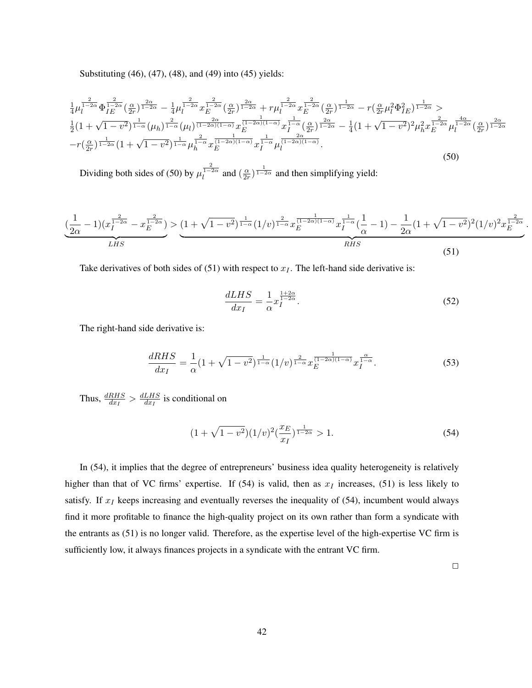Substituting (46), (47), (48), and (49) into (45) yields:

$$
\frac{1}{4}\mu_l^{\frac{2}{1-2\alpha}}\Phi_{IE}^{\frac{2}{1-2\alpha}}\left(\frac{\alpha}{2r}\right)^{\frac{2\alpha}{1-2\alpha}} - \frac{1}{4}\mu_l^{\frac{2}{1-2\alpha}}x^{\frac{2}{1-2\alpha}}\left(\frac{\alpha}{2r}\right)^{\frac{2\alpha}{1-2\alpha}} + r\mu_l^{\frac{2}{1-2\alpha}}x^{\frac{2}{1-2\alpha}}\left(\frac{\alpha}{2r}\right)^{\frac{1}{1-2\alpha}} - r\left(\frac{\alpha}{2r}\mu_l^2\Phi_{IE}^2\right)^{\frac{1}{1-2\alpha}} > \n\frac{1}{2}\left(1+\sqrt{1-v^2}\right)^{\frac{1}{1-\alpha}}\left(\mu_h\right)^{\frac{2}{1-\alpha}}\left(\mu_l\right)^{\frac{2\alpha}{(1-2\alpha)(1-\alpha)}}x^{\frac{1}{(1-2\alpha)(1-\alpha)}}x^{\frac{1}{1-\alpha}}\left(\frac{\alpha}{2r}\right)^{\frac{2\alpha}{1-2\alpha}} - \frac{1}{4}\left(1+\sqrt{1-v^2}\right)^2\mu_h^2x^{\frac{2}{1-2\alpha}}\mu_l^{\frac{4\alpha}{1-2\alpha}}\left(\frac{\alpha}{2r}\right)^{\frac{2\alpha}{1-2\alpha}} - r\left(\frac{\alpha}{2r}\right)^{\frac{1}{1-2\alpha}}\left(1+\sqrt{1-v^2}\right)^{\frac{1}{1-2\alpha}}\left(1+\sqrt{1-v^2}\right)^{\frac{1}{1-\alpha}}\mu_h^{\frac{2}{1-\alpha}}x^{\frac{2}{(1-2\alpha)(1-\alpha)}}x^{\frac{1}{1-\alpha}}\mu_l^{\frac{2\alpha}{(1-2\alpha)(1-\alpha)}}.
$$
\n(50)

Dividing both sides of (50) by  $\mu_l^{\frac{2}{1-2\alpha}}$  and  $(\frac{\alpha}{2r})$  $\frac{\alpha}{2r}$ )  $\frac{1}{1-2\alpha}$  and then simplifying yield:

$$
\underbrace{\left(\frac{1}{2\alpha}-1\right)(x_I^{\frac{2}{1-2\alpha}}-x_E^{\frac{2}{1-2\alpha}})}_{LHS} > \underbrace{\left(1+\sqrt{1-v^2}\right)^{\frac{1}{1-\alpha}}(1/v)^{\frac{2}{1-\alpha}}x_E^{\frac{1}{(1-2\alpha)(1-\alpha)}}x_I^{\frac{1}{1-\alpha}}(\frac{1}{\alpha}-1) - \frac{1}{2\alpha}(1+\sqrt{1-v^2})^2(1/v)^2x_E^{\frac{2}{1-2\alpha}}}{RHS}.
$$
\n(51)

Take derivatives of both sides of (51) with respect to  $x_I$ . The left-hand side derivative is:

$$
\frac{dLHS}{dx_I} = \frac{1}{\alpha} x_I^{\frac{1+2\alpha}{1-2\alpha}}.
$$
\n(52)

The right-hand side derivative is:

$$
\frac{dRHS}{dx_I} = \frac{1}{\alpha} (1 + \sqrt{1 - v^2})^{\frac{1}{1 - \alpha}} (1/v)^{\frac{2}{1 - \alpha}} x_E^{\frac{1}{(1 - 2\alpha)(1 - \alpha)}} x_I^{\frac{\alpha}{1 - \alpha}}.
$$
\n(53)

Thus,  $\frac{dRHS}{dx_I} > \frac{dLHS}{dx_I}$  $\frac{LHS}{dx_I}$  is conditional on

$$
(1 + \sqrt{1 - v^2})(1/v)^2 \left(\frac{x_E}{x_I}\right)^{\frac{1}{1 - 2\alpha}} > 1. \tag{54}
$$

In (54), it implies that the degree of entrepreneurs' business idea quality heterogeneity is relatively higher than that of VC firms' expertise. If (54) is valid, then as  $x_I$  increases, (51) is less likely to satisfy. If  $x_I$  keeps increasing and eventually reverses the inequality of (54), incumbent would always find it more profitable to finance the high-quality project on its own rather than form a syndicate with the entrants as (51) is no longer valid. Therefore, as the expertise level of the high-expertise VC firm is sufficiently low, it always finances projects in a syndicate with the entrant VC firm.

 $\Box$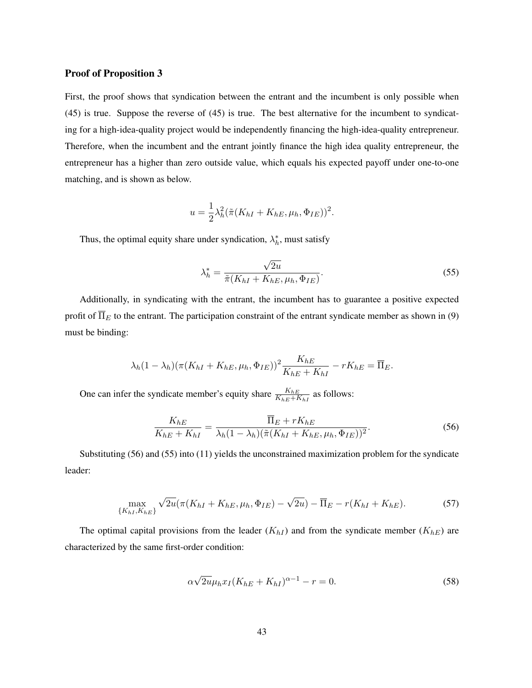#### Proof of Proposition 3

First, the proof shows that syndication between the entrant and the incumbent is only possible when (45) is true. Suppose the reverse of (45) is true. The best alternative for the incumbent to syndicating for a high-idea-quality project would be independently financing the high-idea-quality entrepreneur. Therefore, when the incumbent and the entrant jointly finance the high idea quality entrepreneur, the entrepreneur has a higher than zero outside value, which equals his expected payoff under one-to-one matching, and is shown as below.

$$
u = \frac{1}{2}\lambda_h^2(\tilde{\pi}(K_{hI} + K_{hE}, \mu_h, \Phi_{IE}))^2.
$$

Thus, the optimal equity share under syndication,  $\lambda_h^*$ , must satisfy

$$
\lambda_h^* = \frac{\sqrt{2u}}{\tilde{\pi}(K_{hI} + K_{hE}, \mu_h, \Phi_{IE})}.
$$
\n(55)

Additionally, in syndicating with the entrant, the incumbent has to guarantee a positive expected profit of  $\overline{\Pi}_E$  to the entrant. The participation constraint of the entrant syndicate member as shown in (9) must be binding:

$$
\lambda_h(1-\lambda_h)(\pi(K_{hI}+K_{hE},\mu_h,\Phi_{IE}))^2\frac{K_{hE}}{K_{hE}+K_{hI}}-rK_{hE}=\overline{\Pi}_E.
$$

One can infer the syndicate member's equity share  $\frac{K_{hE}}{K_{hE}+K_{hI}}$  as follows:

$$
\frac{K_{hE}}{K_{hE} + K_{hI}} = \frac{\overline{\Pi}_E + rK_{hE}}{\lambda_h (1 - \lambda_h)(\tilde{\pi}(K_{hI} + K_{hE}, \mu_h, \Phi_{IE}))^2}.
$$
\n
$$
(56)
$$

Substituting (56) and (55) into (11) yields the unconstrained maximization problem for the syndicate leader:

$$
\max_{\{K_{hI}, K_{hE}\}} \sqrt{2u} (\pi(K_{hI} + K_{hE}, \mu_h, \Phi_{IE}) - \sqrt{2u}) - \overline{\Pi}_E - r(K_{hI} + K_{hE}).
$$
 (57)

The optimal capital provisions from the leader  $(K_{hI})$  and from the syndicate member  $(K_{hE})$  are characterized by the same first-order condition:

$$
\alpha \sqrt{2u} \mu_h x_I (K_{hE} + K_{hI})^{\alpha - 1} - r = 0.
$$
 (58)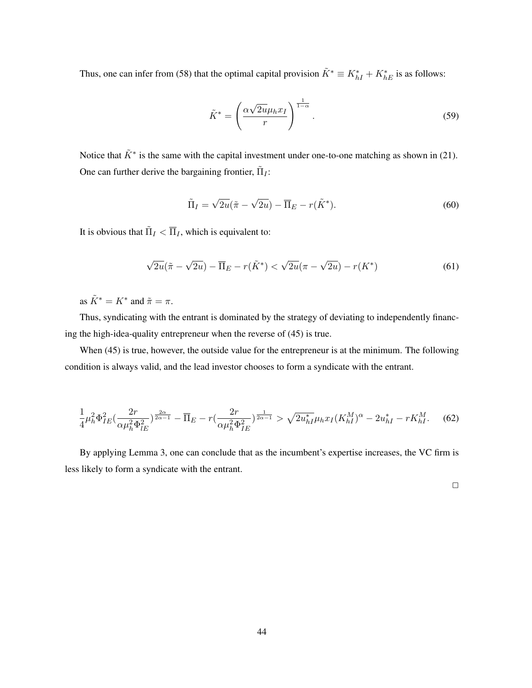Thus, one can infer from (58) that the optimal capital provision  $\tilde{K}^* \equiv K_{hI}^* + K_{hE}^*$  is as follows:

$$
\tilde{K}^* = \left(\frac{\alpha\sqrt{2u}\mu_h x_I}{r}\right)^{\frac{1}{1-\alpha}}.\tag{59}
$$

Notice that  $K^*$  is the same with the capital investment under one-to-one matching as shown in (21). One can further derive the bargaining frontier,  $\tilde{\Pi}_I$ :

$$
\tilde{\Pi}_I = \sqrt{2u}(\tilde{\pi} - \sqrt{2u}) - \overline{\Pi}_E - r(\tilde{K}^*).
$$
\n(60)

It is obvious that  $\tilde{\Pi}_I < \overline{\Pi}_I$ , which is equivalent to:

$$
\sqrt{2u}(\tilde{\pi} - \sqrt{2u}) - \overline{\Pi}_E - r(\tilde{K}^*) < \sqrt{2u}(\pi - \sqrt{2u}) - r(K^*) \tag{61}
$$

as  $\tilde{K}^* = K^*$  and  $\tilde{\pi} = \pi$ .

Thus, syndicating with the entrant is dominated by the strategy of deviating to independently financing the high-idea-quality entrepreneur when the reverse of (45) is true.

When (45) is true, however, the outside value for the entrepreneur is at the minimum. The following condition is always valid, and the lead investor chooses to form a syndicate with the entrant.

$$
\frac{1}{4}\mu_h^2 \Phi_{IE}^2 \left(\frac{2r}{\alpha \mu_h^2 \Phi_{IE}^2}\right)^{\frac{2\alpha}{2\alpha-1}} - \overline{\Pi}_E - r\left(\frac{2r}{\alpha \mu_h^2 \Phi_{IE}^2}\right)^{\frac{1}{2\alpha-1}} > \sqrt{2u_{hI}^*} \mu_h x_I (K_{hI}^M)^\alpha - 2u_{hI}^* - rK_{hI}^M. \tag{62}
$$

By applying Lemma 3, one can conclude that as the incumbent's expertise increases, the VC firm is less likely to form a syndicate with the entrant.

 $\Box$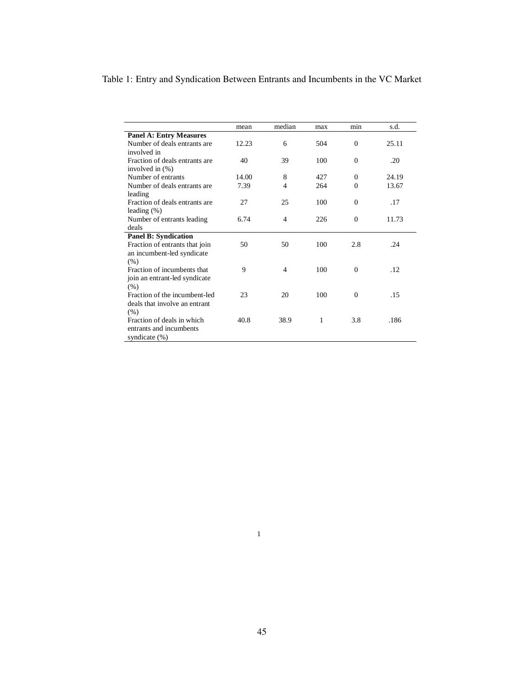## Table 1: Entry and Syndication Between Entrants and Incumbents in the VC Market

|                                | mean  | median | max | min          | s.d.  |
|--------------------------------|-------|--------|-----|--------------|-------|
| <b>Panel A: Entry Measures</b> |       |        |     |              |       |
| Number of deals entrants are   | 12.23 | 6      | 504 | $\mathbf{0}$ | 25.11 |
| involved in                    |       |        |     |              |       |
| Fraction of deals entrants are | 40    | 39     | 100 | $\mathbf{0}$ | .20   |
| involved in $(\%)$             |       |        |     |              |       |
| Number of entrants             | 14.00 | 8      | 427 | $\mathbf{0}$ | 24.19 |
| Number of deals entrants are   | 7.39  | 4      | 264 | $\Omega$     | 13.67 |
| leading                        |       |        |     |              |       |
| Fraction of deals entrants are | 27    | 25     | 100 | $\mathbf{0}$ | .17   |
| leading $(\%)$                 |       |        |     |              |       |
| Number of entrants leading     | 6.74  | 4      | 226 | $\mathbf{0}$ | 11.73 |
| deals                          |       |        |     |              |       |
| <b>Panel B: Syndication</b>    |       |        |     |              |       |
| Fraction of entrants that join | 50    | 50     | 100 | 2.8          | .24   |
| an incumbent-led syndicate     |       |        |     |              |       |
| (% )                           |       |        |     |              |       |
| Fraction of incumbents that    | 9     | 4      | 100 | $\Omega$     | .12   |
| join an entrant-led syndicate  |       |        |     |              |       |
| (% )                           |       |        |     |              |       |
| Fraction of the incumbent-led  | 23    | 20     | 100 | $\Omega$     | .15   |
| deals that involve an entrant  |       |        |     |              |       |
| (% )                           |       |        |     |              |       |
| Fraction of deals in which     | 40.8  | 38.9   | 1   | 3.8          | .186  |
| entrants and incumbents        |       |        |     |              |       |
| syndicate $(\%)$               |       |        |     |              |       |

1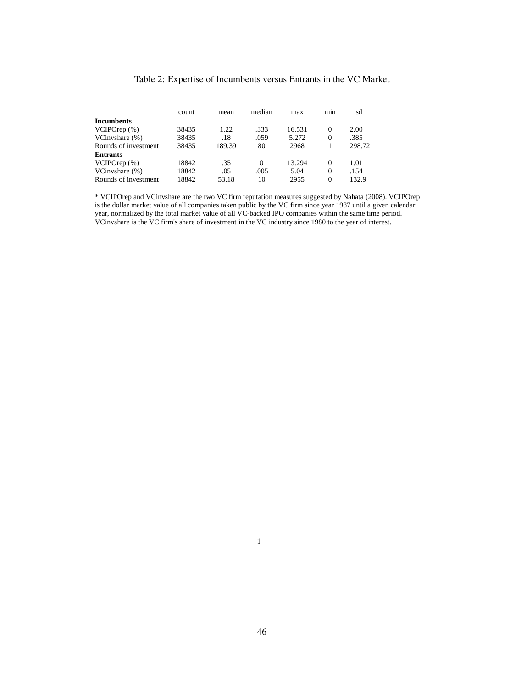| Table 2: Expertise of Incumbents versus Entrants in the VC Market |  |  |  |  |
|-------------------------------------------------------------------|--|--|--|--|
|-------------------------------------------------------------------|--|--|--|--|

|                      | count | mean   | median   | max    | min    | sd     |  |
|----------------------|-------|--------|----------|--------|--------|--------|--|
| <b>Incumbents</b>    |       |        |          |        |        |        |  |
| VCIPOrep (%)         | 38435 | 1.22   | .333     | 16.531 | $_{0}$ | 2.00   |  |
| VCinvshare $(\%)$    | 38435 | .18    | .059     | 5.272  | 0      | .385   |  |
| Rounds of investment | 38435 | 189.39 | 80       | 2968   |        | 298.72 |  |
| <b>Entrants</b>      |       |        |          |        |        |        |  |
| VCIPOrep (%)         | 18842 | .35    | $\theta$ | 13.294 | 0      | 1.01   |  |
| VCinvshare $(\%)$    | 18842 | .05    | .005     | 5.04   | 0      | .154   |  |
| Rounds of investment | 18842 | 53.18  | 10       | 2955   | 0      | 132.9  |  |
|                      |       |        |          |        |        |        |  |

\* VCIPOrep and VCinvshare are the two VC firm reputation measures suggested by Nahata (2008). VCIPOrep is the dollar market value of all companies taken public by the VC firm since year 1987 until a given calendar year, normalized by the total market value of all VC-backed IPO companies within the same time period. VCinvshare is the VC firm's share of investment in the VC industry since 1980 to the year of interest.

1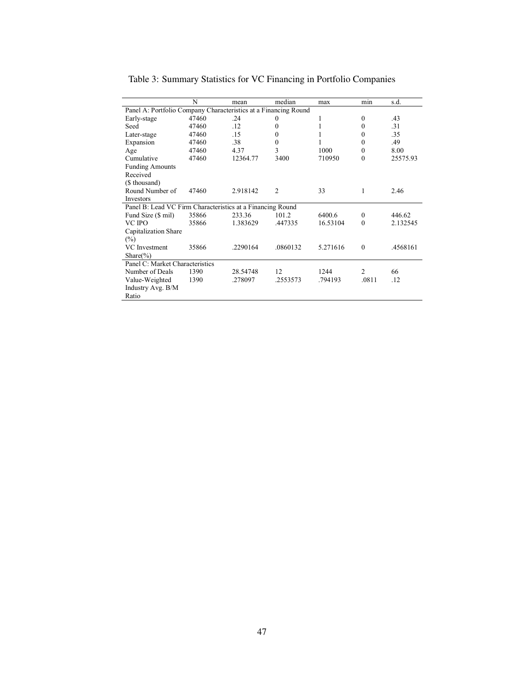|                                                                 | N     | mean     | median         | max      | mın              | s.d.     |
|-----------------------------------------------------------------|-------|----------|----------------|----------|------------------|----------|
| Panel A: Portfolio Company Characteristics at a Financing Round |       |          |                |          |                  |          |
| Early-stage                                                     | 47460 | .24      | $\Omega$       | 1        | $\mathbf{0}$     | .43      |
| Seed                                                            | 47460 | .12      | $\theta$       |          | $\theta$         | .31      |
| Later-stage                                                     | 47460 | .15      | 0              |          | $\theta$         | .35      |
| Expansion                                                       | 47460 | .38      | $\mathbf{0}$   |          | $\theta$         | .49      |
| Age                                                             | 47460 | 4.37     | 3              | 1000     | $\theta$         | 8.00     |
| Cumulative                                                      | 47460 | 12364.77 | 3400           | 710950   | $\theta$         | 25575.93 |
| <b>Funding Amounts</b>                                          |       |          |                |          |                  |          |
| Received                                                        |       |          |                |          |                  |          |
| (\$ thousand)                                                   |       |          |                |          |                  |          |
| Round Number of                                                 | 47460 | 2.918142 | $\overline{2}$ | 33       | 1                | 2.46     |
| Investors                                                       |       |          |                |          |                  |          |
| Panel B: Lead VC Firm Characteristics at a Financing Round      |       |          |                |          |                  |          |
| Fund Size (\$ mil)                                              | 35866 | 233.36   | 101.2          | 6400.6   | $\boldsymbol{0}$ | 446.62   |
| VC IPO                                                          | 35866 | 1.383629 | .447335        | 16.53104 | $\theta$         | 2.132545 |
| Capitalization Share                                            |       |          |                |          |                  |          |
| $(\%)$                                                          |       |          |                |          |                  |          |
| VC Investment                                                   | 35866 | .2290164 | .0860132       | 5.271616 | $\mathbf{0}$     | .4568161 |
| Share $(\% )$                                                   |       |          |                |          |                  |          |
| Panel C: Market Characteristics                                 |       |          |                |          |                  |          |
| Number of Deals                                                 | 1390  | 28.54748 | 12             | 1244     | 2                | 66       |
| Value-Weighted                                                  | 1390  | .278097  | .2553573       | .794193  | .0811            | .12      |
| Industry Avg. B/M                                               |       |          |                |          |                  |          |
| Ratio                                                           |       |          |                |          |                  |          |

Table 3: Summary Statistics for VC Financing in Portfolio Companies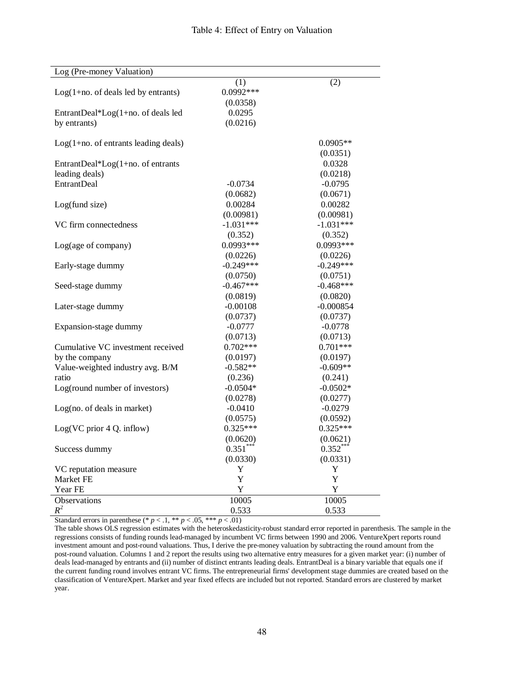| Log (Pre-money Valuation)              |             |             |
|----------------------------------------|-------------|-------------|
|                                        | (1)         | (2)         |
| $Log(1+no. of deals led by entrants)$  | $0.0992***$ |             |
|                                        | (0.0358)    |             |
| EntrantDeal*Log(1+no. of deals led     | 0.0295      |             |
| by entrants)                           | (0.0216)    |             |
|                                        |             |             |
| $Log(1+no.$ of entrants leading deals) |             | $0.0905**$  |
|                                        |             | (0.0351)    |
| EntrantDeal*Log(1+no. of entrants      |             | 0.0328      |
| leading deals)                         |             | (0.0218)    |
| <b>EntrantDeal</b>                     | $-0.0734$   | $-0.0795$   |
|                                        | (0.0682)    | (0.0671)    |
| Log(fund size)                         | 0.00284     | 0.00282     |
|                                        | (0.00981)   | (0.00981)   |
| VC firm connectedness                  | $-1.031***$ | $-1.031***$ |
|                                        | (0.352)     | (0.352)     |
| Log(age of company)                    | 0.0993***   | 0.0993***   |
|                                        | (0.0226)    | (0.0226)    |
| Early-stage dummy                      | $-0.249***$ | $-0.249***$ |
|                                        | (0.0750)    | (0.0751)    |
| Seed-stage dummy                       | $-0.467***$ | $-0.468***$ |
|                                        | (0.0819)    | (0.0820)    |
| Later-stage dummy                      | $-0.00108$  | $-0.000854$ |
|                                        | (0.0737)    | (0.0737)    |
| Expansion-stage dummy                  | $-0.0777$   | $-0.0778$   |
|                                        | (0.0713)    | (0.0713)    |
| Cumulative VC investment received      | $0.702***$  | $0.701***$  |
| by the company                         | (0.0197)    | (0.0197)    |
| Value-weighted industry avg. B/M       | $-0.582**$  | $-0.609**$  |
| ratio                                  | (0.236)     | (0.241)     |
| Log(round number of investors)         | $-0.0504*$  | $-0.0502*$  |
|                                        | (0.0278)    | (0.0277)    |
| Log(no. of deals in market)            | $-0.0410$   | $-0.0279$   |
|                                        | (0.0575)    | (0.0592)    |
| Log(VC prior 4 Q. inflow)              | $0.325***$  | $0.325***$  |
|                                        | (0.0620)    | (0.0621)    |
| Success dummy                          | $0.351***$  | $0.352***$  |
|                                        | (0.0330)    | (0.0331)    |
| VC reputation measure                  | Y           | Y           |
| Market FE                              | Y           | Y           |
| Year FE                                | Y           | Y           |
| Observations                           | 10005       | 10005       |
| $R^2$                                  | 0.533       | 0.533       |

Standard errors in parenthese (\*  $p < 0.1$ , \*\*  $p < 0.05$ , \*\*\*  $p < 0.01$ )

The table shows OLS regression estimates with the heteroskedasticity-robust standard error reported in parenthesis. The sample in the regressions consists of funding rounds lead-managed by incumbent VC firms between 1990 and 2006. VentureXpert reports round investment amount and post-round valuations. Thus, I derive the pre-money valuation by subtracting the round amount from the post-round valuation. Columns 1 and 2 report the results using two alternative entry measures for a given market year: (i) number of deals lead-managed by entrants and (ii) number of distinct entrants leading deals. EntrantDeal is a binary variable that equals one if the current funding round involves entrant VC firms. The entrepreneurial firms' development stage dummies are created based on the classification of VentureXpert. Market and year fixed effects are included but not reported. Standard errors are clustered by market year.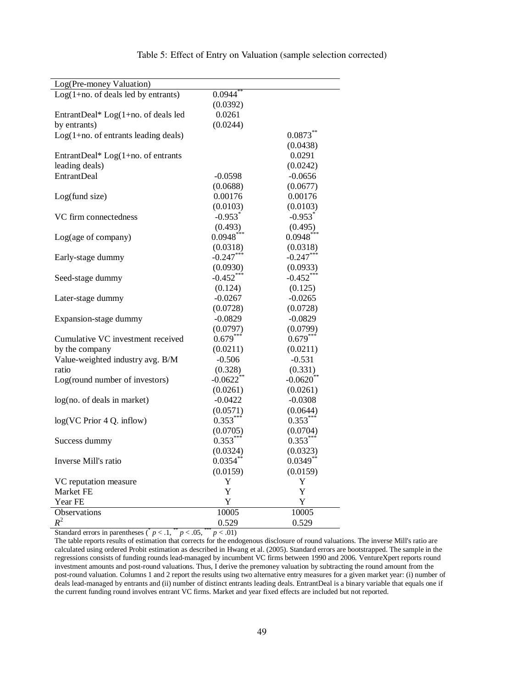| Log(Pre-money Valuation)               |                        |                        |
|----------------------------------------|------------------------|------------------------|
| $Log(1+no. of deals led by entrants)$  | $0.0944$ **            |                        |
|                                        | (0.0392)               |                        |
| EntrantDeal* Log(1+no. of deals led    | 0.0261                 |                        |
| by entrants)                           | (0.0244)               |                        |
| $Log(1+no.$ of entrants leading deals) |                        | $0.0873***$            |
|                                        |                        | (0.0438)               |
| EntrantDeal* $Log(1+no.$ of entrants   |                        | 0.0291                 |
| leading deals)                         |                        | (0.0242)               |
| <b>EntrantDeal</b>                     | $-0.0598$              | $-0.0656$              |
|                                        | (0.0688)               | (0.0677)               |
| Log(fund size)                         | 0.00176                | 0.00176                |
|                                        | (0.0103)               | (0.0103)               |
| VC firm connectedness                  | $-0.953$ <sup>*</sup>  | $-0.953$ <sup>*</sup>  |
|                                        | (0.493)                | (0.495)                |
| Log(age of company)                    | $0.0948***$            | $0.0948***$            |
|                                        | (0.0318)               | (0.0318)               |
| Early-stage dummy                      | $-0.247***$            | $-0.247***$            |
|                                        | (0.0930)               | (0.0933)               |
| Seed-stage dummy                       | $-0.452***$            | $-0.452***$            |
|                                        | (0.124)                | (0.125)                |
| Later-stage dummy                      | $-0.0267$              | $-0.0265$              |
|                                        | (0.0728)               | (0.0728)               |
| Expansion-stage dummy                  | $-0.0829$              | $-0.0829$              |
|                                        | (0.0797)               | (0.0799)               |
| Cumulative VC investment received      | $0.679***$             | $0.679***$             |
| by the company                         | (0.0211)               | (0.0211)               |
| Value-weighted industry avg. B/M       | $-0.506$               | $-0.531$               |
| ratio                                  | (0.328)                | (0.331)                |
| Log(round number of investors)         | $-0.0622**$            | $-0.0620$ **           |
|                                        | (0.0261)               | (0.0261)               |
| log(no. of deals in market)            | $-0.0422$              | $-0.0308$              |
|                                        | (0.0571)               |                        |
|                                        | $0.353***$             | (0.0644)<br>$0.353***$ |
| $log(VC$ Prior 4 Q. inflow)            |                        |                        |
|                                        | (0.0705)<br>$0.353***$ | (0.0704)<br>$0.353***$ |
| Success dummy                          |                        |                        |
|                                        | (0.0324)               | (0.0323)               |
| Inverse Mill's ratio                   | $0.0354$ **            | 0.0349                 |
|                                        | (0.0159)               | (0.0159)               |
| VC reputation measure                  | Y                      | Y                      |
| Market FE                              | Y                      | $\mathbf Y$            |
| Year FE                                | $\mathbf Y$            | Y                      |
| Observations                           | 10005                  | 10005                  |
| $\mathbb{R}^2$                         | 0.529                  | 0.529                  |

### Table 5: Effect of Entry on Valuation (sample selection corrected)

Standard errors in parentheses ( $p < 0.1$ ,  $p < 0.05$ ,  $p < 0.01$ )

The table reports results of estimation that corrects for the endogenous disclosure of round valuations. The inverse Mill's ratio are calculated using ordered Probit estimation as described in Hwang et al. (2005). Standard errors are bootstrapped. The sample in the regressions consists of funding rounds lead-managed by incumbent VC firms between 1990 and 2006. VentureXpert reports round investment amounts and post-round valuations. Thus, I derive the premoney valuation by subtracting the round amount from the post-round valuation. Columns 1 and 2 report the results using two alternative entry measures for a given market year: (i) number of deals lead-managed by entrants and (ii) number of distinct entrants leading deals. EntrantDeal is a binary variable that equals one if the current funding round involves entrant VC firms. Market and year fixed effects are included but not reported.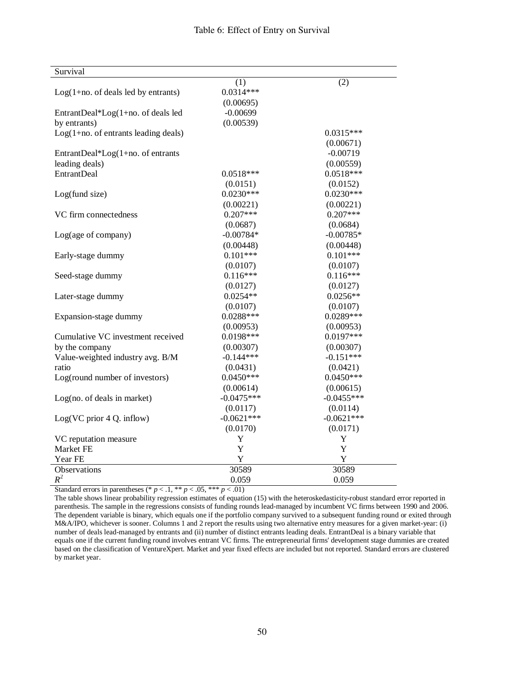| Survival                              |              |              |
|---------------------------------------|--------------|--------------|
|                                       | (1)          | (2)          |
| $Log(1+no. of deals led by entrants)$ | $0.0314***$  |              |
|                                       | (0.00695)    |              |
| EntrantDeal*Log(1+no. of deals led    | $-0.00699$   |              |
| by entrants)                          | (0.00539)    |              |
| Log(1+no. of entrants leading deals)  |              | $0.0315***$  |
|                                       |              | (0.00671)    |
| EntrantDeal*Log(1+no. of entrants     |              | $-0.00719$   |
| leading deals)                        |              | (0.00559)    |
| <b>EntrantDeal</b>                    | $0.0518***$  | $0.0518***$  |
|                                       | (0.0151)     | (0.0152)     |
| Log(fund size)                        | $0.0230***$  | $0.0230***$  |
|                                       | (0.00221)    | (0.00221)    |
| VC firm connectedness                 | $0.207***$   | $0.207***$   |
|                                       | (0.0687)     | (0.0684)     |
| Log(age of company)                   | $-0.00784*$  | $-0.00785*$  |
|                                       | (0.00448)    | (0.00448)    |
| Early-stage dummy                     | $0.101***$   | $0.101***$   |
|                                       | (0.0107)     | (0.0107)     |
| Seed-stage dummy                      | $0.116***$   | $0.116***$   |
|                                       | (0.0127)     | (0.0127)     |
| Later-stage dummy                     | $0.0254**$   | $0.0256**$   |
|                                       | (0.0107)     | (0.0107)     |
| Expansion-stage dummy                 | $0.0288***$  | $0.0289***$  |
|                                       | (0.00953)    | (0.00953)    |
| Cumulative VC investment received     | $0.0198***$  | $0.0197***$  |
| by the company                        | (0.00307)    | (0.00307)    |
| Value-weighted industry avg. B/M      | $-0.144***$  | $-0.151***$  |
| ratio                                 | (0.0431)     | (0.0421)     |
| Log(round number of investors)        | $0.0450***$  | $0.0450***$  |
|                                       | (0.00614)    | (0.00615)    |
| Log(no. of deals in market)           | $-0.0475***$ | $-0.0455***$ |
|                                       | (0.0117)     | (0.0114)     |
| Log(VC prior 4 Q. inflow)             | $-0.0621***$ | $-0.0621***$ |
|                                       | (0.0170)     | (0.0171)     |
| VC reputation measure                 | $\mathbf Y$  | Y            |
| Market FE                             | Y            | Y            |
| Year FE                               | Y            | Y            |
| <b>Observations</b>                   | 30589        | 30589        |
| $R^2$                                 | 0.059        | 0.059        |

Standard errors in parentheses (\*  $p < 0.1$ , \*\*  $p < 0.05$ , \*\*\*  $p < 0.01$ )

The table shows linear probability regression estimates of equation (15) with the heteroskedasticity-robust standard error reported in parenthesis. The sample in the regressions consists of funding rounds lead-managed by incumbent VC firms between 1990 and 2006. The dependent variable is binary, which equals one if the portfolio company survived to a subsequent funding round or exited through M&A/IPO, whichever is sooner. Columns 1 and 2 report the results using two alternative entry measures for a given market-year: (i) number of deals lead-managed by entrants and (ii) number of distinct entrants leading deals. EntrantDeal is a binary variable that equals one if the current funding round involves entrant VC firms. The entrepreneurial firms' development stage dummies are created based on the classification of VentureXpert. Market and year fixed effects are included but not reported. Standard errors are clustered by market year.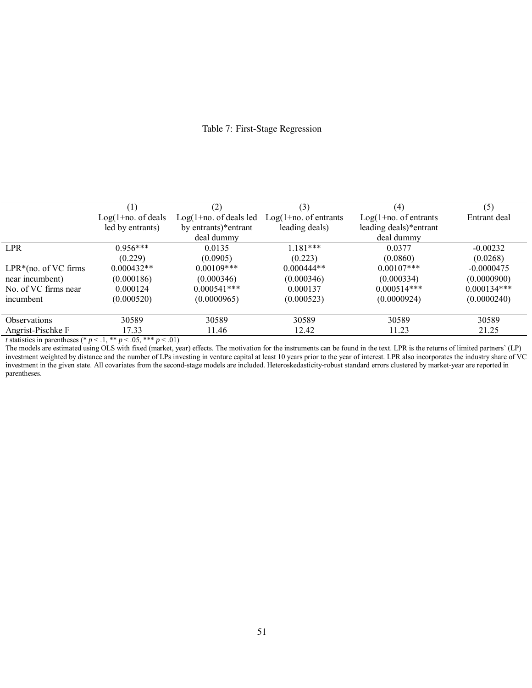## Table 7: First-Stage Regression

|                                                               |                       | (2)                       | (3)                      | (4)                      | (5)           |
|---------------------------------------------------------------|-----------------------|---------------------------|--------------------------|--------------------------|---------------|
|                                                               | $Log(1+no. of deals)$ | $Log(1+no. of deals led)$ | $Log(1+no. of entrants)$ | $Log(1+no. of entrants)$ | Entrant deal  |
|                                                               | led by entrants)      | by entrants)*entrant      | leading deals)           | leading deals)*entrant   |               |
|                                                               |                       | deal dummy                |                          | deal dummy               |               |
| <b>LPR</b>                                                    | $0.956***$            | 0.0135                    | $1.181***$               | 0.0377                   | $-0.00232$    |
|                                                               | (0.229)               | (0.0905)                  | (0.223)                  | (0.0860)                 | (0.0268)      |
| $LPR*(no. of VC firms)$                                       | $0.000432**$          | $0.00109$ ***             | $0.000444**$             | $0.00107$ ***            | $-0.0000475$  |
| near incumbent)                                               | (0.000186)            | (0.000346)                | (0.000346)               | (0.000334)               | (0.0000900)   |
| No. of VC firms near                                          | 0.000124              | $0.000541***$             | 0.000137                 | $0.000514***$            | $0.000134***$ |
| incumbent                                                     | (0.000520)            | (0.0000965)               | (0.000523)               | (0.0000924)              | (0.0000240)   |
| Observations                                                  | 30589                 | 30589                     | 30589                    | 30589                    | 30589         |
| Angrist-Pischke F                                             | 17.33                 | 11.46                     | 12.42                    | 11.23                    | 21.25         |
| t statistics in parentheses $(* n < 1 ** n < 0.5 ** n < 0.1)$ |                       |                           |                          |                          |               |

*tatistics in parentheses (\**  $p < 0.1$ *, \*\**  $p < 0.05$ *, \*\*\**  $p < 0.01$ *)* 

The models are estimated using OLS with fixed (market, year) effects. The motivation for the instruments can be found in the text. LPR is the returns of limited partners' (LP) investment weighted by distance and the number of LPs investing in venture capital at least 10 years prior to the year of interest. LPR also incorporates the industry share of VC investment in the given state. All covariates from the second-stage models are included. Heteroskedasticity-robust standard errors clustered by market-year are reported in parentheses.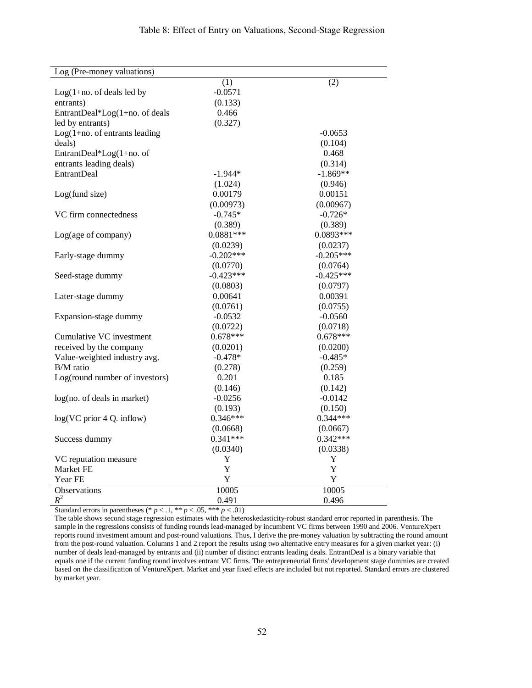| Log (Pre-money valuations)       |             |             |
|----------------------------------|-------------|-------------|
|                                  | (1)         | (2)         |
| $Log(1+no. of deals led by$      | $-0.0571$   |             |
| entrants)                        | (0.133)     |             |
| EntrantDeal*Log(1+no. of deals   | 0.466       |             |
| led by entrants)                 | (0.327)     |             |
| $Log(1+no. of entrants leading)$ |             | $-0.0653$   |
| deals)                           |             | (0.104)     |
| EntrantDeal*Log(1+no. of         |             | 0.468       |
| entrants leading deals)          |             | (0.314)     |
| <b>EntrantDeal</b>               | $-1.944*$   | $-1.869**$  |
|                                  | (1.024)     | (0.946)     |
| Log(fund size)                   | 0.00179     | 0.00151     |
|                                  | (0.00973)   | (0.00967)   |
| VC firm connectedness            | $-0.745*$   | $-0.726*$   |
|                                  | (0.389)     | (0.389)     |
| Log(age of company)              | $0.0881***$ | $0.0893***$ |
|                                  | (0.0239)    | (0.0237)    |
| Early-stage dummy                | $-0.202***$ | $-0.205***$ |
|                                  | (0.0770)    | (0.0764)    |
| Seed-stage dummy                 | $-0.423***$ | $-0.425***$ |
|                                  | (0.0803)    | (0.0797)    |
| Later-stage dummy                | 0.00641     | 0.00391     |
|                                  | (0.0761)    | (0.0755)    |
| Expansion-stage dummy            | $-0.0532$   | $-0.0560$   |
|                                  | (0.0722)    | (0.0718)    |
| Cumulative VC investment         | $0.678***$  | $0.678***$  |
| received by the company          | (0.0201)    | (0.0200)    |
| Value-weighted industry avg.     | $-0.478*$   | $-0.485*$   |
| $B/M$ ratio                      | (0.278)     | (0.259)     |
| Log(round number of investors)   | 0.201       | 0.185       |
|                                  | (0.146)     | (0.142)     |
| log(no. of deals in market)      | $-0.0256$   | $-0.0142$   |
|                                  | (0.193)     | (0.150)     |
| $log(VC)$ prior 4 Q. inflow)     | $0.346***$  | $0.344***$  |
|                                  | (0.0668)    | (0.0667)    |
| Success dummy                    | $0.341***$  | $0.342***$  |
|                                  | (0.0340)    | (0.0338)    |
| VC reputation measure            | Y           | Y           |
| Market FE                        | Y           | Y           |
| Year FE                          | Y           | Y           |
| <b>Observations</b>              | 10005       | 10005       |
| $R^2$                            | 0.491       | 0.496       |

Standard errors in parentheses (\*  $p < 0.1$ , \*\*  $p < 0.05$ , \*\*\*  $p < 0.01$ )

The table shows second stage regression estimates with the heteroskedasticity-robust standard error reported in parenthesis. The sample in the regressions consists of funding rounds lead-managed by incumbent VC firms between 1990 and 2006. VentureXpert reports round investment amount and post-round valuations. Thus, I derive the pre-money valuation by subtracting the round amount from the post-round valuation. Columns 1 and 2 report the results using two alternative entry measures for a given market year: (i) number of deals lead-managed by entrants and (ii) number of distinct entrants leading deals. EntrantDeal is a binary variable that equals one if the current funding round involves entrant VC firms. The entrepreneurial firms' development stage dummies are created based on the classification of VentureXpert. Market and year fixed effects are included but not reported. Standard errors are clustered by market year.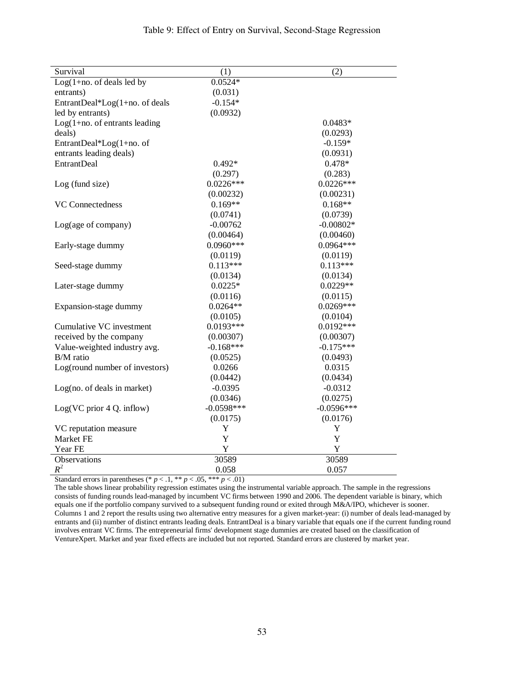| Survival                         | (1)          | (2)          |
|----------------------------------|--------------|--------------|
| $Log(1+no. of deals led by)$     | $0.0524*$    |              |
| entrants)                        | (0.031)      |              |
| EntrantDeal*Log(1+no. of deals   | $-0.154*$    |              |
| led by entrants)                 | (0.0932)     |              |
| $Log(1+no. of entrants leading)$ |              | $0.0483*$    |
| deals)                           |              | (0.0293)     |
| EntrantDeal*Log(1+no. of         |              | $-0.159*$    |
| entrants leading deals)          |              | (0.0931)     |
| <b>EntrantDeal</b>               | $0.492*$     | $0.478*$     |
|                                  | (0.297)      | (0.283)      |
| Log (fund size)                  | $0.0226***$  | $0.0226***$  |
|                                  | (0.00232)    | (0.00231)    |
| <b>VC</b> Connectedness          | $0.169**$    | $0.168**$    |
|                                  | (0.0741)     | (0.0739)     |
| Log(age of company)              | $-0.00762$   | $-0.00802*$  |
|                                  | (0.00464)    | (0.00460)    |
| Early-stage dummy                | $0.0960***$  | $0.0964***$  |
|                                  | (0.0119)     | (0.0119)     |
| Seed-stage dummy                 | $0.113***$   | $0.113***$   |
|                                  | (0.0134)     | (0.0134)     |
| Later-stage dummy                | $0.0225*$    | $0.0229**$   |
|                                  | (0.0116)     | (0.0115)     |
| Expansion-stage dummy            | $0.0264**$   | $0.0269***$  |
|                                  | (0.0105)     | (0.0104)     |
| Cumulative VC investment         | $0.0193***$  | $0.0192***$  |
| received by the company          | (0.00307)    | (0.00307)    |
| Value-weighted industry avg.     | $-0.168***$  | $-0.175***$  |
| B/M ratio                        | (0.0525)     | (0.0493)     |
| Log(round number of investors)   | 0.0266       | 0.0315       |
|                                  | (0.0442)     | (0.0434)     |
| Log(no. of deals in market)      | $-0.0395$    | $-0.0312$    |
|                                  | (0.0346)     | (0.0275)     |
| Log(VC prior 4 Q. inflow)        | $-0.0598***$ | $-0.0596***$ |
|                                  | (0.0175)     | (0.0176)     |
| VC reputation measure            | Y            | Y            |
| Market FE                        | Y            | Y            |
| Year FE                          | Y            | Y            |
| Observations                     | 30589        | 30589        |

 $R^2$  0.058 0.057 Standard errors in parentheses (\*  $p < 0.1$ , \*\*  $p < 0.05$ , \*\*\*  $p < 0.01$ )

The table shows linear probability regression estimates using the instrumental variable approach. The sample in the regressions consists of funding rounds lead-managed by incumbent VC firms between 1990 and 2006. The dependent variable is binary, which equals one if the portfolio company survived to a subsequent funding round or exited through M&A/IPO, whichever is sooner. Columns 1 and 2 report the results using two alternative entry measures for a given market-year: (i) number of deals lead-managed by entrants and (ii) number of distinct entrants leading deals. EntrantDeal is a binary variable that equals one if the current funding round involves entrant VC firms. The entrepreneurial firms' development stage dummies are created based on the classification of VentureXpert. Market and year fixed effects are included but not reported. Standard errors are clustered by market year.